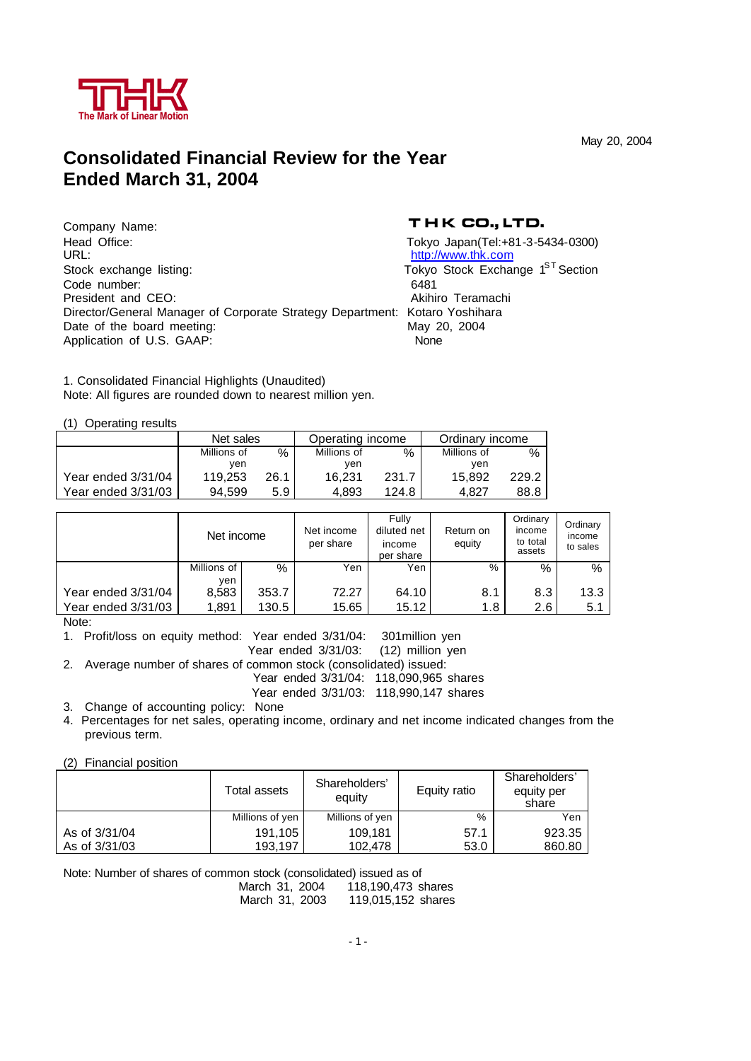

May 20, 2004

## **Consolidated Financial Review for the Year Ended March 31, 2004**

Company Name: Head Office: Tokyo Japan(Tel:+81-3-5434-0300)<br>URL: Tokyo Japan(Tel:+81-3-5434-0300) Stock exchange listing: Tokyo Stock Exchange 1<sup>ST</sup> Section Code number: 6481<br>
President and CEO: The Contract of the Akihiro Teramachi President and CEO: Director/General Manager of Corporate Strategy Department: Kotaro Yoshihara Date of the board meeting: May 20, 2004 Application of U.S. GAAP: None

### THK CO., LTD.

http://www.thk.com

1. Consolidated Financial Highlights (Unaudited) Note: All figures are rounded down to nearest million yen.

(1) Operating results

|                    | Net sales   |      | Operating income |       | Ordinary income |       |  |
|--------------------|-------------|------|------------------|-------|-----------------|-------|--|
|                    | Millions of | $\%$ | Millions of      | %     | Millions of     | $\%$  |  |
|                    | ven         |      | ven              |       | ven             |       |  |
| Year ended 3/31/04 | 119.253     | 26.1 | 16.231           | 231.7 | 15.892          | 229.2 |  |
| Year ended 3/31/03 | 94.599      | 5.9  | 4.893            | 124.8 | 4.827           | 88.8  |  |

|                    | Net income  |       | Net income<br>per share | Fully<br>diluted net<br>income<br>per share | Return on<br>equity | Ordinary<br>income<br>to total<br>assets | Ordinary<br>income<br>to sales |
|--------------------|-------------|-------|-------------------------|---------------------------------------------|---------------------|------------------------------------------|--------------------------------|
|                    | Millions of | %     | Yen                     | Yen                                         | %                   | %                                        | %                              |
|                    | ven         |       |                         |                                             |                     |                                          |                                |
| Year ended 3/31/04 | 8,583       | 353.7 | 72.27                   | 64.10                                       | 8.1                 | 8.3                                      | 13.3                           |
| Year ended 3/31/03 | 1,891       | 130.5 | 15.65                   | 15.12                                       | 1.8                 | 2.6                                      | 5.1                            |

Note:

1. Profit/loss on equity method: Year ended 3/31/04: 301million yen

Year ended 3/31/03: (12) million yen

2. Average number of shares of common stock (consolidated) issued:

Year ended 3/31/04: 118,090,965 shares

Year ended 3/31/03: 118,990,147 shares

3. Change of accounting policy: None

4. Percentages for net sales, operating income, ordinary and net income indicated changes from the previous term.

(2) Financial position

|               | Total assets    | Shareholders'<br>equity | Equity ratio | Shareholders'<br>equity per<br>share |
|---------------|-----------------|-------------------------|--------------|--------------------------------------|
|               | Millions of yen | Millions of yen         | $\%$         | Yen                                  |
| As of 3/31/04 | 191.105         | 109.181                 | 57.1         | 923.35                               |
| As of 3/31/03 | 193,197         | 102.478                 | 53.0         | 860.80                               |

Note: Number of shares of common stock (consolidated) issued as of

 March 31, 2004 118,190,473 shares March 31, 2003 119,015,152 shares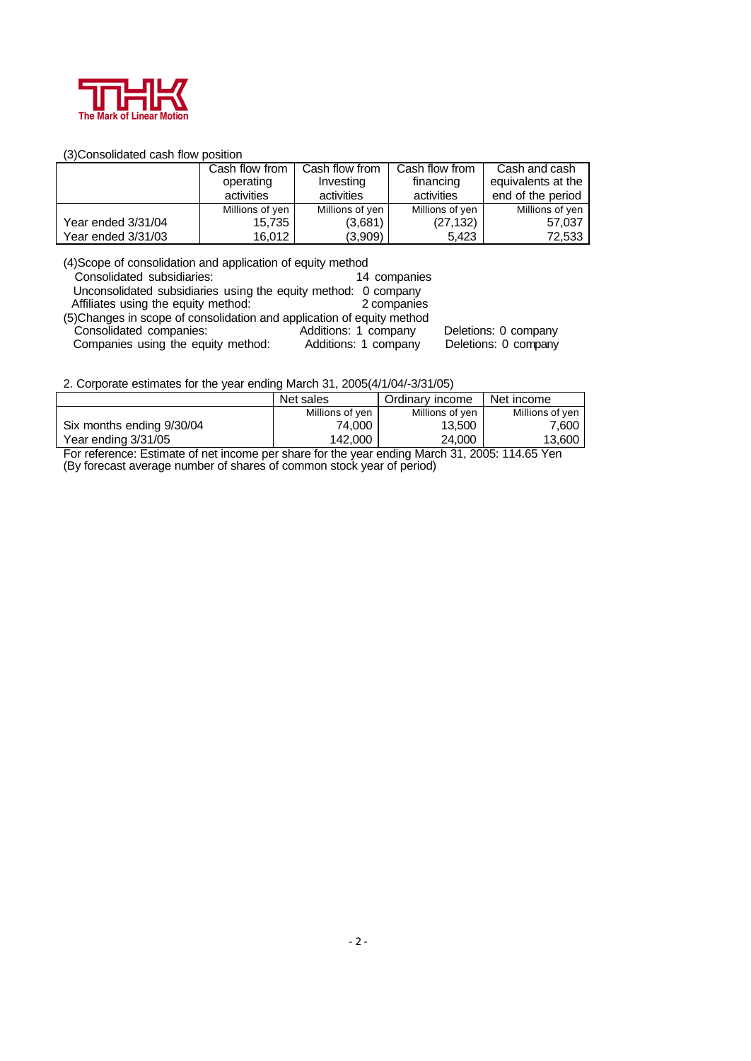

#### (3)Consolidated cash flow position

|                    | Cash flow from  | Cash flow from  | Cash flow from  | Cash and cash      |
|--------------------|-----------------|-----------------|-----------------|--------------------|
|                    | operating       | Investing       | financing       | equivalents at the |
|                    | activities      | activities      | activities      | end of the period  |
|                    | Millions of yen | Millions of yen | Millions of yen | Millions of yen    |
| Year ended 3/31/04 | 15,735          | (3,681)         | (27, 132)       | 57,037             |
| Year ended 3/31/03 | 16,012          | (3,909)         | 5.423           | 72.533             |

| (4) Scope of consolidation and application of equity method            |                      |                      |
|------------------------------------------------------------------------|----------------------|----------------------|
| Consolidated subsidiaries:                                             | 14 companies         |                      |
| Unconsolidated subsidiaries using the equity method: 0 company         |                      |                      |
| Affiliates using the equity method:                                    | 2 companies          |                      |
| (5) Changes in scope of consolidation and application of equity method |                      |                      |
| Consolidated companies:                                                | Additions: 1 company | Deletions: 0 company |
| Companies using the equity method:                                     | Additions: 1 company | Deletions: 0 company |
|                                                                        |                      |                      |

2. Corporate estimates for the year ending March 31, 2005(4/1/04/-3/31/05)

|                           | Net sales       | Ordinary income | Net income      |
|---------------------------|-----------------|-----------------|-----------------|
|                           | Millions of yen | Millions of ven | Millions of yen |
| Six months ending 9/30/04 | 74.000          | 13,500          | 7.600           |
| Year ending 3/31/05       | 142.000         | 24.000          | 13,600          |

For reference: Estimate of net income per share for the year ending March 31, 2005: 114.65 Yen (By forecast average number of shares of common stock year of period)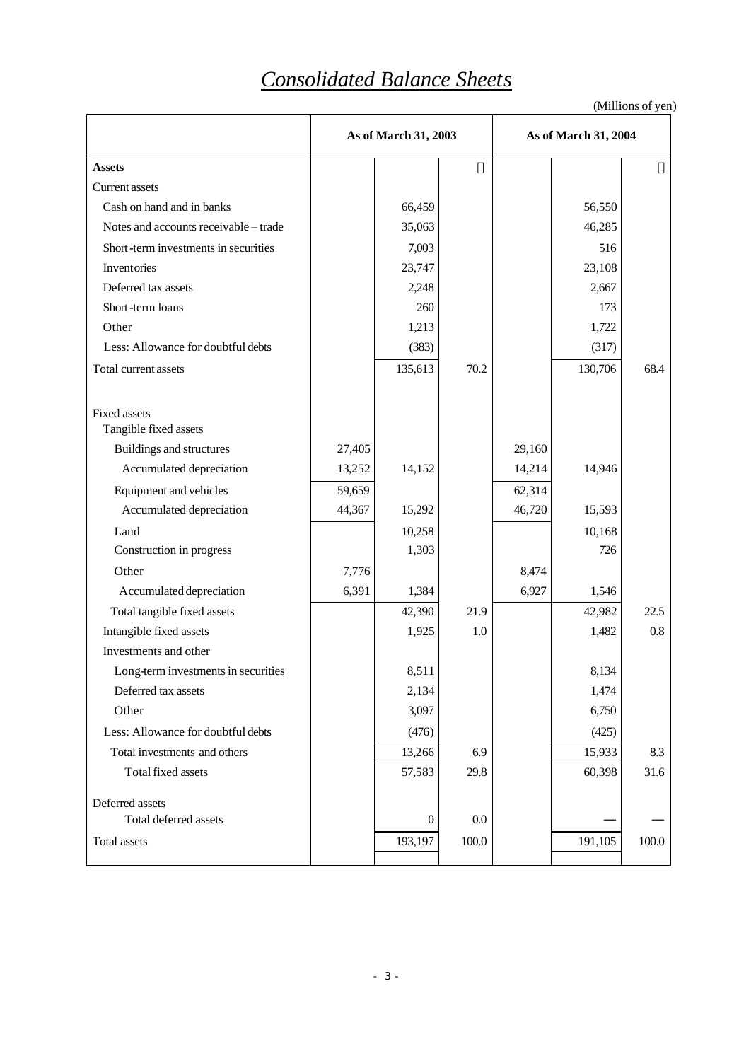# *Consolidated Balance Sheets*

|                                              | As of March 31, 2003 |         |       | As of March 31, 2004 |         |       |
|----------------------------------------------|----------------------|---------|-------|----------------------|---------|-------|
| <b>Assets</b>                                |                      |         |       |                      |         |       |
| <b>Current assets</b>                        |                      |         |       |                      |         |       |
| Cash on hand and in banks                    |                      | 66,459  |       |                      | 56,550  |       |
| Notes and accounts receivable - trade        |                      | 35,063  |       |                      | 46,285  |       |
| Short-term investments in securities         |                      | 7,003   |       |                      | 516     |       |
| Inventories                                  |                      | 23,747  |       |                      | 23,108  |       |
| Deferred tax assets                          |                      | 2,248   |       |                      | 2,667   |       |
| Short-term loans                             |                      | 260     |       |                      | 173     |       |
| Other                                        |                      | 1,213   |       |                      | 1,722   |       |
| Less: Allowance for doubtful debts           |                      | (383)   |       |                      | (317)   |       |
| Total current assets                         |                      | 135,613 | 70.2  |                      | 130,706 | 68.4  |
| <b>Fixed assets</b><br>Tangible fixed assets |                      |         |       |                      |         |       |
| Buildings and structures                     | 27,405               |         |       | 29,160               |         |       |
| Accumulated depreciation                     | 13,252               | 14,152  |       | 14,214               | 14,946  |       |
| Equipment and vehicles                       | 59,659               |         |       | 62,314               |         |       |
| Accumulated depreciation                     | 44,367               | 15,292  |       | 46,720               | 15,593  |       |
| Land                                         |                      | 10,258  |       |                      | 10,168  |       |
| Construction in progress                     |                      | 1,303   |       |                      | 726     |       |
| Other                                        | 7,776                |         |       | 8,474                |         |       |
| Accumulated depreciation                     | 6,391                | 1,384   |       | 6,927                | 1,546   |       |
| Total tangible fixed assets                  |                      | 42,390  | 21.9  |                      | 42,982  | 22.5  |
| Intangible fixed assets                      |                      | 1,925   | 1.0   |                      | 1,482   | 0.8   |
| Investments and other                        |                      |         |       |                      |         |       |
| Long-term investments in securities          |                      | 8,511   |       |                      | 8,134   |       |
| Deferred tax assets                          |                      | 2,134   |       |                      | 1,474   |       |
| Other                                        |                      | 3,097   |       |                      | 6,750   |       |
| Less: Allowance for doubtful debts           |                      | (476)   |       |                      | (425)   |       |
| Total investments and others                 |                      | 13,266  | 6.9   |                      | 15,933  | 8.3   |
| Total fixed assets                           |                      | 57,583  | 29.8  |                      | 60,398  | 31.6  |
| Deferred assets                              |                      |         |       |                      |         |       |
| Total deferred assets                        |                      | 0       | 0.0   |                      |         |       |
| Total assets                                 |                      | 193,197 | 100.0 |                      | 191,105 | 100.0 |

(Millions of yen)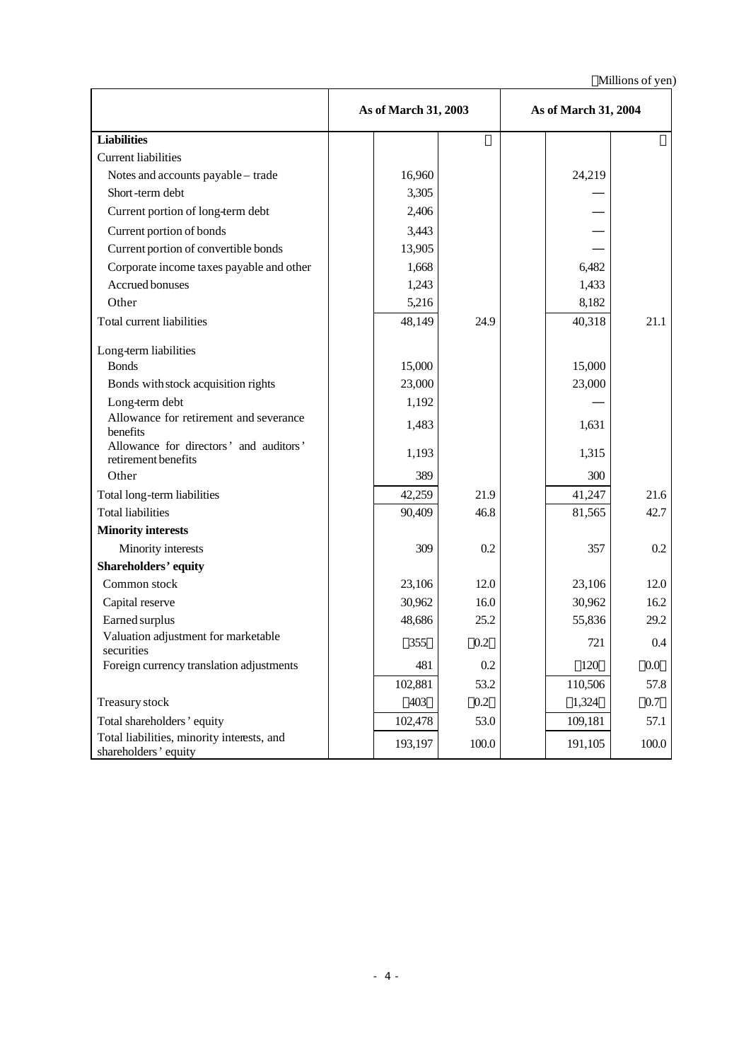Millions of yen)

|                                                                    | As of March 31, 2003 |         |  | As of March 31, 2004 |           |  |
|--------------------------------------------------------------------|----------------------|---------|--|----------------------|-----------|--|
| <b>Liabilities</b>                                                 |                      |         |  |                      |           |  |
| <b>Current liabilities</b>                                         |                      |         |  |                      |           |  |
| Notes and accounts payable - trade                                 | 16,960               |         |  | 24,219               |           |  |
| Short-term debt                                                    | 3,305                |         |  |                      |           |  |
| Current portion of long-term debt                                  | 2,406                |         |  |                      |           |  |
| Current portion of bonds                                           | 3,443                |         |  |                      |           |  |
| Current portion of convertible bonds                               | 13,905               |         |  |                      |           |  |
| Corporate income taxes payable and other                           | 1,668                |         |  | 6,482                |           |  |
| Accrued bonuses                                                    | 1,243                |         |  | 1,433                |           |  |
| Other                                                              | 5,216                |         |  | 8,182                |           |  |
| Total current liabilities                                          | 48,149               | 24.9    |  | 40,318               | 21.1      |  |
| Long-term liabilities                                              |                      |         |  |                      |           |  |
| <b>Bonds</b>                                                       | 15,000               |         |  | 15,000               |           |  |
| Bonds with stock acquisition rights                                | 23,000               |         |  | 23,000               |           |  |
| Long-term debt                                                     | 1,192                |         |  |                      |           |  |
| Allowance for retirement and severance<br>benefits                 | 1,483                |         |  | 1,631                |           |  |
| Allowance for directors' and auditors'<br>retirement benefits      | 1,193                |         |  | 1,315                |           |  |
| Other                                                              | 389                  |         |  | 300                  |           |  |
| Total long-term liabilities                                        | 42,259               | 21.9    |  | 41,247               | 21.6      |  |
| <b>Total liabilities</b>                                           | 90,409               | 46.8    |  | 81,565               | 42.7      |  |
| <b>Minority interests</b>                                          |                      |         |  |                      |           |  |
| Minority interests                                                 | 309                  | 0.2     |  | 357                  | 0.2       |  |
| Shareholders' equity                                               |                      |         |  |                      |           |  |
| Common stock                                                       | 23,106               | 12.0    |  | 23,106               | 12.0      |  |
| Capital reserve                                                    | 30,962               | 16.0    |  | 30,962               | 16.2      |  |
| Earned surplus                                                     | 48,686               | 25.2    |  | 55,836               | 29.2      |  |
| Valuation adjustment for marketable<br>securities                  | 355                  | 0.2     |  | 721                  | 0.4       |  |
| Foreign currency translation adjustments                           | 481                  | 0.2     |  | 120                  | $0.0\,$   |  |
|                                                                    | 102,881              | 53.2    |  | 110,506              | 57.8      |  |
| Treasury stock                                                     | 403                  | $0.2\,$ |  | 1,324                | 0.7       |  |
| Total shareholders' equity                                         | 102,478              | 53.0    |  | 109,181              | 57.1      |  |
| Total liabilities, minority interests, and<br>shareholders' equity | 193,197              | 100.0   |  | 191,105              | $100.0\,$ |  |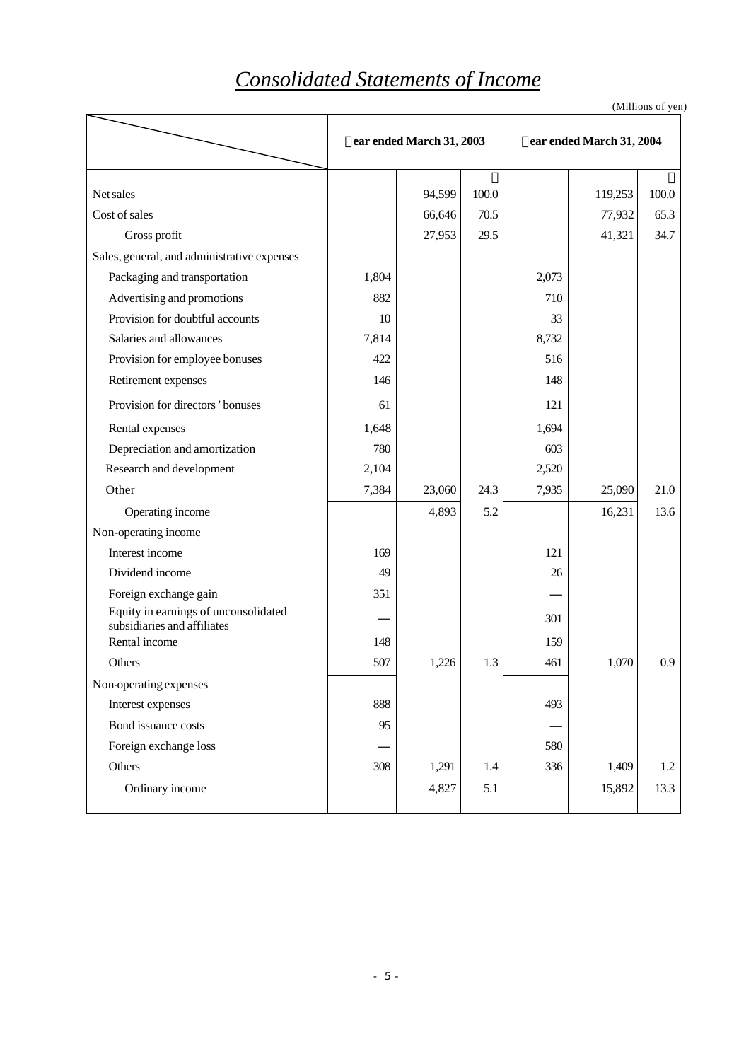# *Consolidated Statements of Income*

|                                                                     | ear ended March 31, 2003 |        |       | ear ended March 31, 2004 |         |       |
|---------------------------------------------------------------------|--------------------------|--------|-------|--------------------------|---------|-------|
| Net sales                                                           |                          | 94,599 | 100.0 |                          | 119,253 | 100.0 |
| Cost of sales                                                       |                          | 66,646 | 70.5  |                          | 77,932  | 65.3  |
| Gross profit                                                        |                          | 27,953 | 29.5  |                          | 41,321  | 34.7  |
| Sales, general, and administrative expenses                         |                          |        |       |                          |         |       |
| Packaging and transportation                                        | 1,804                    |        |       | 2,073                    |         |       |
| Advertising and promotions                                          | 882                      |        |       | 710                      |         |       |
| Provision for doubtful accounts                                     | 10                       |        |       | 33                       |         |       |
| Salaries and allowances                                             | 7,814                    |        |       | 8,732                    |         |       |
| Provision for employee bonuses                                      | 422                      |        |       | 516                      |         |       |
| Retirement expenses                                                 | 146                      |        |       | 148                      |         |       |
| Provision for directors' bonuses                                    | 61                       |        |       | 121                      |         |       |
| Rental expenses                                                     | 1,648                    |        |       | 1,694                    |         |       |
| Depreciation and amortization                                       | 780                      |        |       | 603                      |         |       |
| Research and development                                            | 2,104                    |        |       | 2,520                    |         |       |
| Other                                                               | 7,384                    | 23,060 | 24.3  | 7,935                    | 25,090  | 21.0  |
| Operating income                                                    |                          | 4,893  | 5.2   |                          | 16,231  | 13.6  |
| Non-operating income                                                |                          |        |       |                          |         |       |
| Interest income                                                     | 169                      |        |       | 121                      |         |       |
| Dividend income                                                     | 49                       |        |       | 26                       |         |       |
| Foreign exchange gain                                               | 351                      |        |       |                          |         |       |
| Equity in earnings of unconsolidated<br>subsidiaries and affiliates |                          |        |       | 301                      |         |       |
| Rental income                                                       | 148                      |        |       | 159                      |         |       |
| Others                                                              | 507                      | 1,226  | 1.3   | 461                      | 1,070   | 0.9   |
| Non-operating expenses                                              |                          |        |       |                          |         |       |
| Interest expenses                                                   | 888                      |        |       | 493                      |         |       |
| Bond issuance costs                                                 | 95                       |        |       |                          |         |       |
| Foreign exchange loss                                               |                          |        |       | 580                      |         |       |
| Others                                                              | 308                      | 1,291  | 1.4   | 336                      | 1,409   | 1.2   |
| Ordinary income                                                     |                          | 4,827  | 5.1   |                          | 15,892  | 13.3  |

(Millions of yen)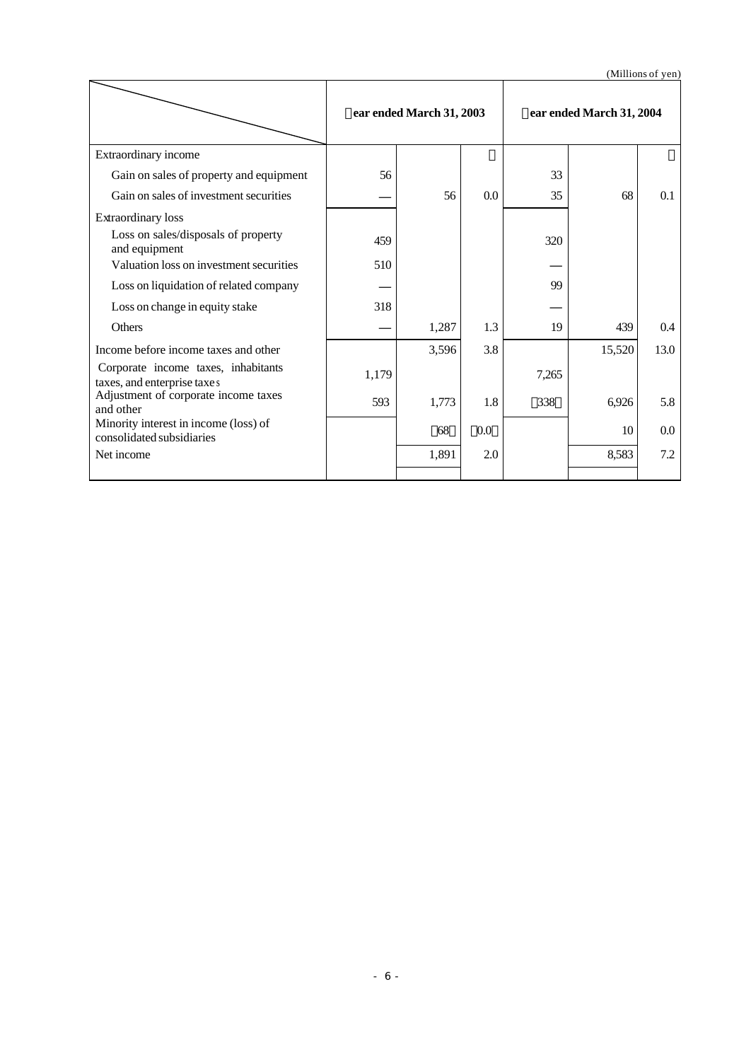| (Millions of yen) |  |
|-------------------|--|
|                   |  |

|                                                                    | ear ended March 31, 2003 |       |     | ear ended March 31, 2004 |        |      |
|--------------------------------------------------------------------|--------------------------|-------|-----|--------------------------|--------|------|
| Extraordinary income                                               |                          |       |     |                          |        |      |
| Gain on sales of property and equipment                            | 56                       |       |     | 33                       |        |      |
| Gain on sales of investment securities                             |                          | 56    | 0.0 | 35                       | 68     | 0.1  |
| <b>Extraordinary</b> loss                                          |                          |       |     |                          |        |      |
| Loss on sales/disposals of property<br>and equipment               | 459                      |       |     | 320                      |        |      |
| Valuation loss on investment securities                            | 510                      |       |     |                          |        |      |
| Loss on liquidation of related company                             |                          |       |     | 99                       |        |      |
| Loss on change in equity stake                                     | 318                      |       |     |                          |        |      |
| Others                                                             |                          | 1,287 | 1.3 | 19                       | 439    | 0.4  |
| Income before income taxes and other                               |                          | 3,596 | 3.8 |                          | 15,520 | 13.0 |
| Corporate income taxes, inhabitants<br>taxes, and enterprise taxes | 1,179                    |       |     | 7,265                    |        |      |
| Adjustment of corporate income taxes<br>and other                  | 593                      | 1,773 | 1.8 | 338                      | 6,926  | 5.8  |
| Minority interest in income (loss) of<br>consolidated subsidiaries |                          | 68    | 0.0 |                          | 10     | 0.0  |
| Net income                                                         |                          | 1,891 | 2.0 |                          | 8,583  | 7.2  |
|                                                                    |                          |       |     |                          |        |      |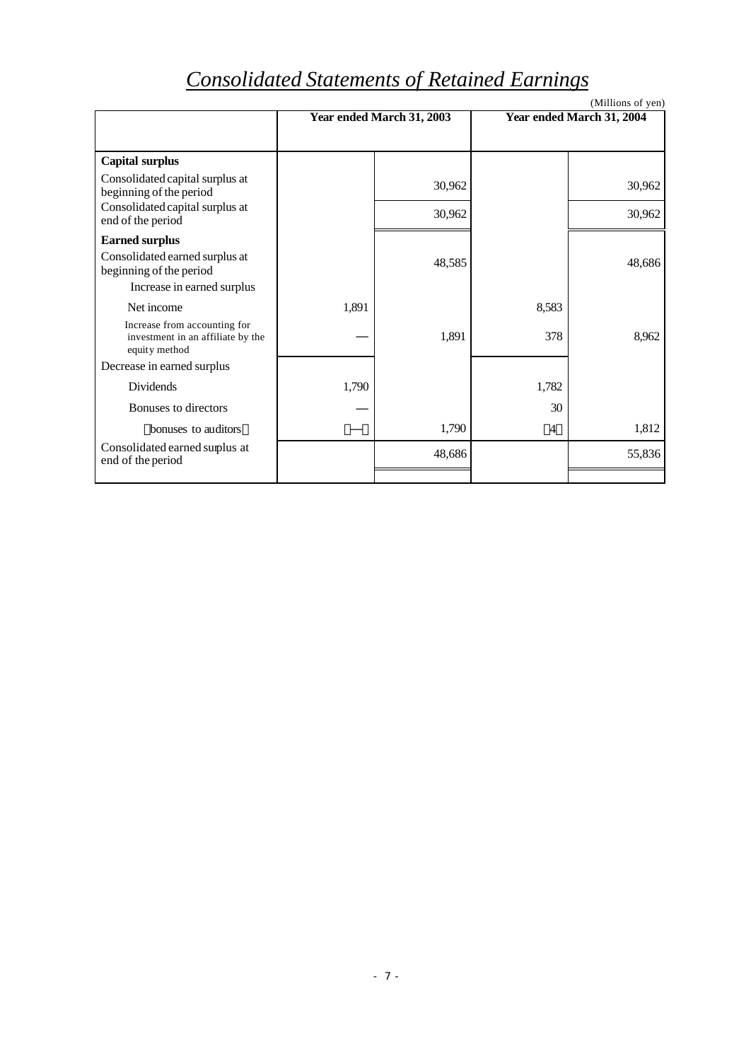| (Millions of yen)                                                                  |       |                           |       |                           |  |  |  |
|------------------------------------------------------------------------------------|-------|---------------------------|-------|---------------------------|--|--|--|
|                                                                                    |       | Year ended March 31, 2003 |       | Year ended March 31, 2004 |  |  |  |
|                                                                                    |       |                           |       |                           |  |  |  |
| <b>Capital surplus</b>                                                             |       |                           |       |                           |  |  |  |
| Consolidated capital surplus at<br>beginning of the period                         |       | 30,962                    |       | 30,962                    |  |  |  |
| Consolidated capital surplus at<br>end of the period                               |       | 30,962                    |       | 30,962                    |  |  |  |
| <b>Earned surplus</b>                                                              |       |                           |       |                           |  |  |  |
| Consolidated earned surplus at<br>beginning of the period                          |       | 48,585                    |       | 48,686                    |  |  |  |
| Increase in earned surplus                                                         |       |                           |       |                           |  |  |  |
| Net income                                                                         | 1,891 |                           | 8,583 |                           |  |  |  |
| Increase from accounting for<br>investment in an affiliate by the<br>equity method |       | 1,891                     | 378   | 8,962                     |  |  |  |
| Decrease in earned surplus                                                         |       |                           |       |                           |  |  |  |
| Dividends                                                                          | 1,790 |                           | 1,782 |                           |  |  |  |
| Bonuses to directors                                                               |       |                           | 30    |                           |  |  |  |
| bonuses to auditors                                                                |       | 1,790                     | 4     | 1,812                     |  |  |  |
| Consolidated earned suplus at<br>end of the period                                 |       | 48,686                    |       | 55,836                    |  |  |  |
|                                                                                    |       |                           |       |                           |  |  |  |

# *Consolidated Statements of Retained Earnings*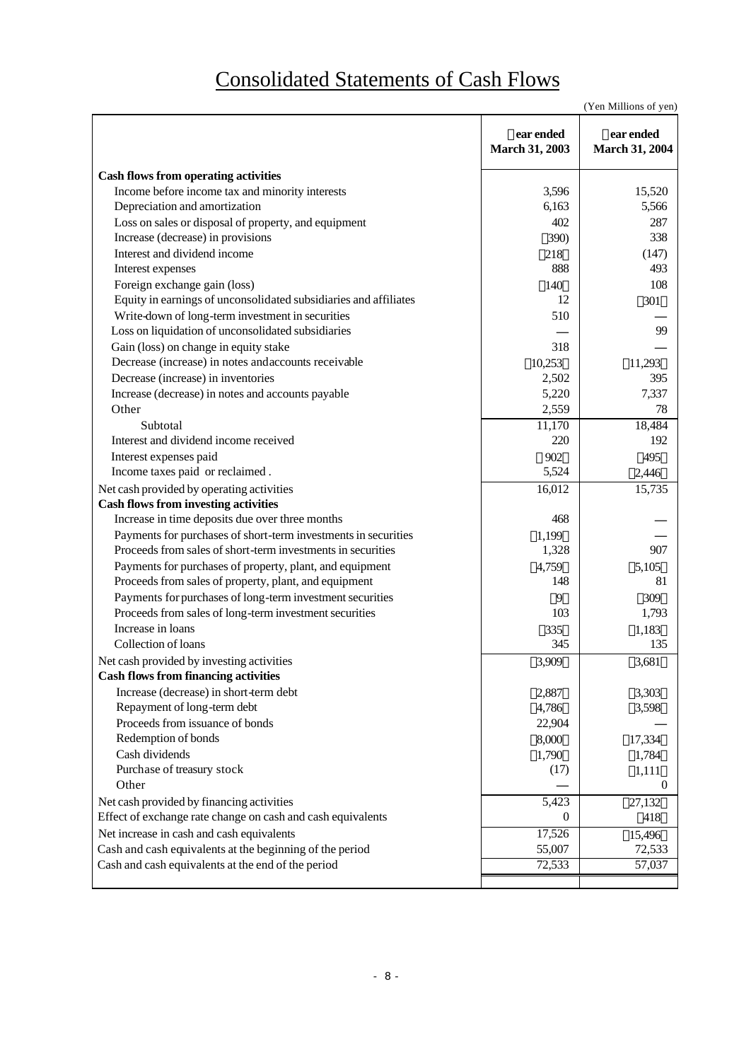# Consolidated Statements of Cash Flows

|                                                                  |                                    | (Yen Millions of yen)       |
|------------------------------------------------------------------|------------------------------------|-----------------------------|
|                                                                  | ear ended<br><b>March 31, 2003</b> | ear ended<br>March 31, 2004 |
| <b>Cash flows from operating activities</b>                      |                                    |                             |
| Income before income tax and minority interests                  | 3,596                              | 15,520                      |
| Depreciation and amortization                                    | 6,163                              | 5,566                       |
| Loss on sales or disposal of property, and equipment             | 402                                | 287                         |
| Increase (decrease) in provisions                                | 390)                               | 338                         |
| Interest and dividend income                                     | 218                                | (147)                       |
| Interest expenses                                                | 888                                | 493                         |
| Foreign exchange gain (loss)                                     | 140                                | 108                         |
| Equity in earnings of unconsolidated subsidiaries and affiliates | 12                                 | 301                         |
| Write-down of long-term investment in securities                 | 510                                |                             |
| Loss on liquidation of unconsolidated subsidiaries               |                                    | 99                          |
| Gain (loss) on change in equity stake                            | 318                                |                             |
| Decrease (increase) in notes and accounts receivable             | 10,253                             | 11,293                      |
| Decrease (increase) in inventories                               | 2,502                              | 395                         |
| Increase (decrease) in notes and accounts payable                | 5,220                              | 7,337                       |
| Other                                                            | 2,559                              | 78                          |
| Subtotal                                                         | 11,170                             | 18,484                      |
| Interest and dividend income received                            | 220                                | 192                         |
| Interest expenses paid                                           | 902                                | 495                         |
| Income taxes paid or reclaimed.                                  | 5,524                              | 2,446                       |
| Net cash provided by operating activities                        | 16,012                             | 15,735                      |
| <b>Cash flows from investing activities</b>                      |                                    |                             |
| Increase in time deposits due over three months                  | 468                                |                             |
| Payments for purchases of short-term investments in securities   | 1,199                              |                             |
| Proceeds from sales of short-term investments in securities      | 1,328                              | 907                         |
| Payments for purchases of property, plant, and equipment         | 4,759                              | 5,105                       |
| Proceeds from sales of property, plant, and equipment            | 148                                | 81                          |
| Payments for purchases of long-term investment securities        | 9                                  | 309                         |
| Proceeds from sales of long-term investment securities           | 103                                | 1,793                       |
| Increase in loans                                                | 335                                | 1,183                       |
| Collection of loans                                              | 345                                | 135                         |
| Net cash provided by investing activities                        | 3,909                              | 3,681                       |
| <b>Cash flows from financing activities</b>                      |                                    |                             |
| Increase (decrease) in short-term debt                           | 2,887                              | 3,303                       |
| Repayment of long-term debt                                      | 4,786                              | 3,598                       |
| Proceeds from issuance of bonds                                  | 22,904                             |                             |
| Redemption of bonds                                              | 8,000                              | 17,334                      |
| Cash dividends                                                   | 1,790                              | 1,784                       |
| Purchase of treasury stock                                       | (17)                               | 1,111                       |
| Other                                                            |                                    | $\theta$                    |
| Net cash provided by financing activities                        | 5,423                              |                             |
| Effect of exchange rate change on cash and cash equivalents      | $\mathbf{0}$                       | 27,132<br>418               |
|                                                                  |                                    |                             |
| Net increase in cash and cash equivalents                        | 17,526                             | 15,496                      |
| Cash and cash equivalents at the beginning of the period         | 55,007<br>72,533                   | 72,533                      |
| Cash and cash equivalents at the end of the period               |                                    | 57,037                      |
|                                                                  |                                    |                             |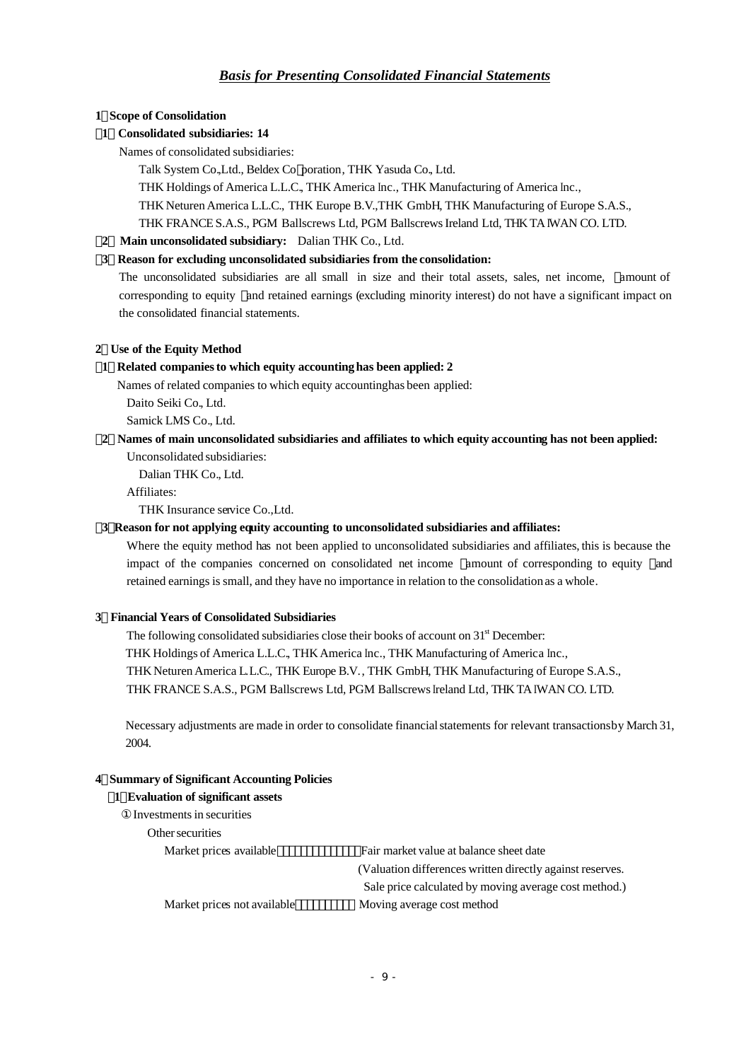#### **1 Scope of Consolidation**

**1 Consolidated subsidiaries: 14**

Names of consolidated subsidiaries:

Talk System Co.,Ltd., Beldex Co poration, THK Yasuda Co., Ltd.

THK Holdings of America L.L.C., THK America Inc., THK Manufacturing of America Inc.,

THK Neturen America L.L.C., THK Europe B.V.,THK GmbH, THK Manufacturing of Europe S.A.S.,

THK FRANCE S.A.S., PGM Ballscrews Ltd, PGM Ballscrews Ireland Ltd, THK TA IWAN CO. LTD.

**2 Main unconsolidated subsidiary:** Dalian THK Co., Ltd.

#### **3 Reason for excluding unconsolidated subsidiaries from the consolidation:**

The unconsolidated subsidiaries are all small in size and their total assets, sales, net income, amount of corresponding to equity and retained earnings (excluding minority interest) do not have a significant impact on the consolidated financial statements.

#### **2 Use of the Equity Method**

#### **1 Related companies to which equity accounting has been applied: 2**

Names of related companies to which equity accounting has been applied:

Daito Seiki Co., Ltd.

- Samick LMS Co., Ltd.
- **2 Names of main unconsolidated subsidiaries and affiliates to which equity accounting has not been applied:**

Unconsolidated subsidiaries:

Dalian THK Co., Ltd.

Affiliates:

THK Insurance service Co.,Ltd.

#### **3 Reason for not applying equity accounting to unconsolidated subsidiaries and affiliates:**

Where the equity method has not been applied to unconsolidated subsidiaries and affiliates, this is because the impact of the companies concerned on consolidated net income amount of corresponding to equity and retained earnings is small, and they have no importance in relation to the consolidation as a whole.

#### **3 Financial Years of Consolidated Subsidiaries**

The following consolidated subsidiaries close their books of account on  $31<sup>st</sup>$  December: THK Holdings of America L.L.C., THK America Inc., THK Manufacturing of America Inc., THK Neturen America L.L.C., THK Europe B.V., THK GmbH, THK Manufacturing of Europe S.A.S., THK FRANCE S.A.S., PGM Ballscrews Ltd, PGM Ballscrews Ireland Ltd, THK TA IWAN CO. LTD.

Necessary adjustments are made in order to consolidate financial statements for relevant transactions by March 31, 2004.

#### **4 Summary of Significant Accounting Policies**

#### **1 Evaluation of significant assets**

| Investments in securities   |                                                           |
|-----------------------------|-----------------------------------------------------------|
| Other securities            |                                                           |
| Market prices available     | Fair market value at balance sheet date                   |
|                             | (Valuation differences written directly against reserves. |
|                             | Sale price calculated by moving average cost method.)     |
| Market prices not available | Moving average cost method                                |
|                             |                                                           |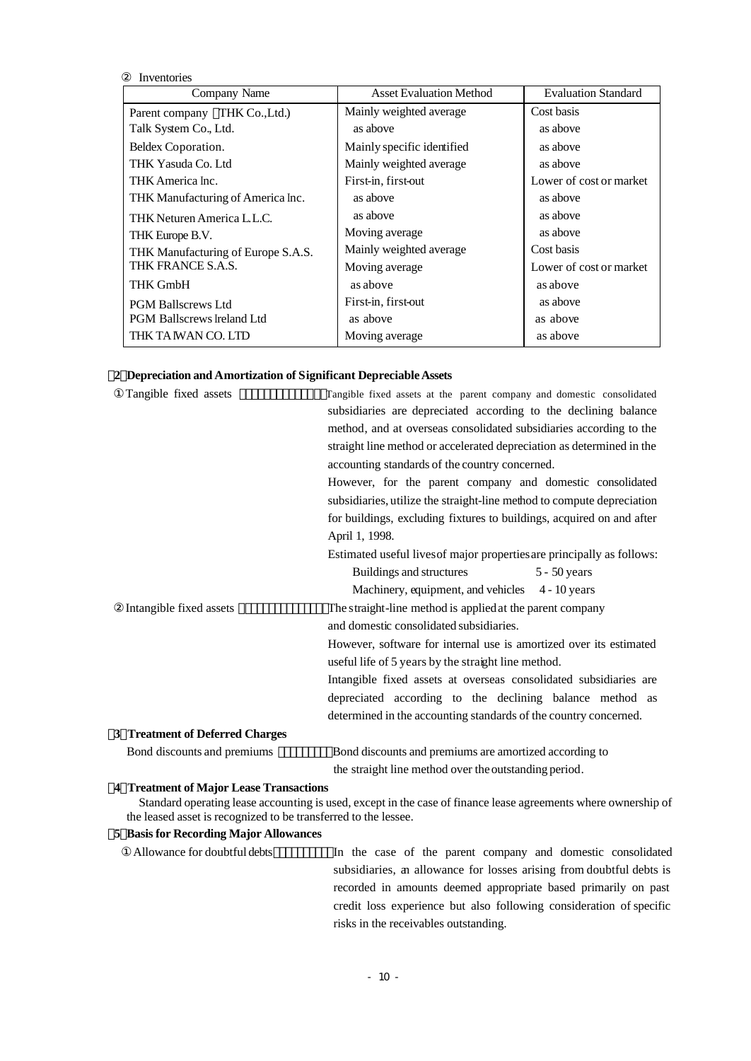| Inventories                        |                                |                            |  |
|------------------------------------|--------------------------------|----------------------------|--|
| Company Name                       | <b>Asset Evaluation Method</b> | <b>Evaluation Standard</b> |  |
| Parent company THK Co., Ltd.)      | Mainly weighted average        | Cost basis                 |  |
| Talk System Co., Ltd.              | as above                       | as above                   |  |
| Beldex Coporation.                 | Mainly specific identified     | as above                   |  |
| THK Yasuda Co. Ltd                 | Mainly weighted average        | as above                   |  |
| THK America Inc.                   | First-in, first-out            | Lower of cost or market    |  |
| THK Manufacturing of America Inc.  | as above                       | as above                   |  |
| THK Neturen America L.L.C.         | as above                       | as above                   |  |
| THK Europe B.V.                    | Moving average                 | as above                   |  |
| THK Manufacturing of Europe S.A.S. | Mainly weighted average        | Cost basis                 |  |
| THK FRANCE S.A.S.                  | Moving average                 | Lower of cost or market    |  |
| <b>THK GmbH</b>                    | as above                       | as above                   |  |
| <b>PGM Ballscrews Ltd</b>          | First-in, first-out            | as above                   |  |
| <b>PGM Ballscrews Ireland Ltd</b>  | as above                       | as above                   |  |
| THK TAIWAN CO. LTD                 | Moving average                 | as above                   |  |

#### **2 Depreciation and Amortization of Significant DepreciableAssets**

| Tangible fixed assets                          | Tangible fixed assets at the parent company and domestic consolidated<br>subsidiaries are depreciated according to the declining balance<br>method, and at overseas consolidated subsidiaries according to the<br>straight line method or accelerated depreciation as determined in the<br>accounting standards of the country concerned.<br>However, for the parent company and domestic consolidated |
|------------------------------------------------|--------------------------------------------------------------------------------------------------------------------------------------------------------------------------------------------------------------------------------------------------------------------------------------------------------------------------------------------------------------------------------------------------------|
|                                                | subsidiaries, utilize the straight-line method to compute depreciation                                                                                                                                                                                                                                                                                                                                 |
|                                                | for buildings, excluding fixtures to buildings, acquired on and after<br>April 1, 1998.                                                                                                                                                                                                                                                                                                                |
|                                                | Estimated useful lives of major properties are principally as follows:                                                                                                                                                                                                                                                                                                                                 |
|                                                | Buildings and structures<br>5 - 50 years                                                                                                                                                                                                                                                                                                                                                               |
|                                                | Machinery, equipment, and vehicles 4 - 10 years                                                                                                                                                                                                                                                                                                                                                        |
| Intangible fixed assets                        | The straight-line method is applied at the parent company                                                                                                                                                                                                                                                                                                                                              |
|                                                | and domestic consolidated subsidiaries.                                                                                                                                                                                                                                                                                                                                                                |
|                                                | However, software for internal use is amortized over its estimated                                                                                                                                                                                                                                                                                                                                     |
|                                                | useful life of 5 years by the straight line method.                                                                                                                                                                                                                                                                                                                                                    |
|                                                | Intangible fixed assets at overseas consolidated subsidiaries are                                                                                                                                                                                                                                                                                                                                      |
|                                                | depreciated according to the declining balance method as                                                                                                                                                                                                                                                                                                                                               |
|                                                | determined in the accounting standards of the country concerned.                                                                                                                                                                                                                                                                                                                                       |
| 3 Treatment of Deferred Charges                |                                                                                                                                                                                                                                                                                                                                                                                                        |
| Bond discounts and premiums                    | Bond discounts and premiums are amortized according to                                                                                                                                                                                                                                                                                                                                                 |
|                                                | the straight line method over the outstanding period.                                                                                                                                                                                                                                                                                                                                                  |
| <b>4 Treatment of Major Lease Transactions</b> |                                                                                                                                                                                                                                                                                                                                                                                                        |

#### Standard operating lease accounting is used, except in the case of finance lease agreements where ownership of the leased asset is recognized to be transferred to the lessee.

#### **5 Basis for Recording Major Allowances**

Allowance for doubtful debts **in the case of the parent company and domestic consolidated** subsidiaries, an allowance for losses arising from doubtful debts is recorded in amounts deemed appropriate based primarily on past credit loss experience but also following consideration of specific risks in the receivables outstanding.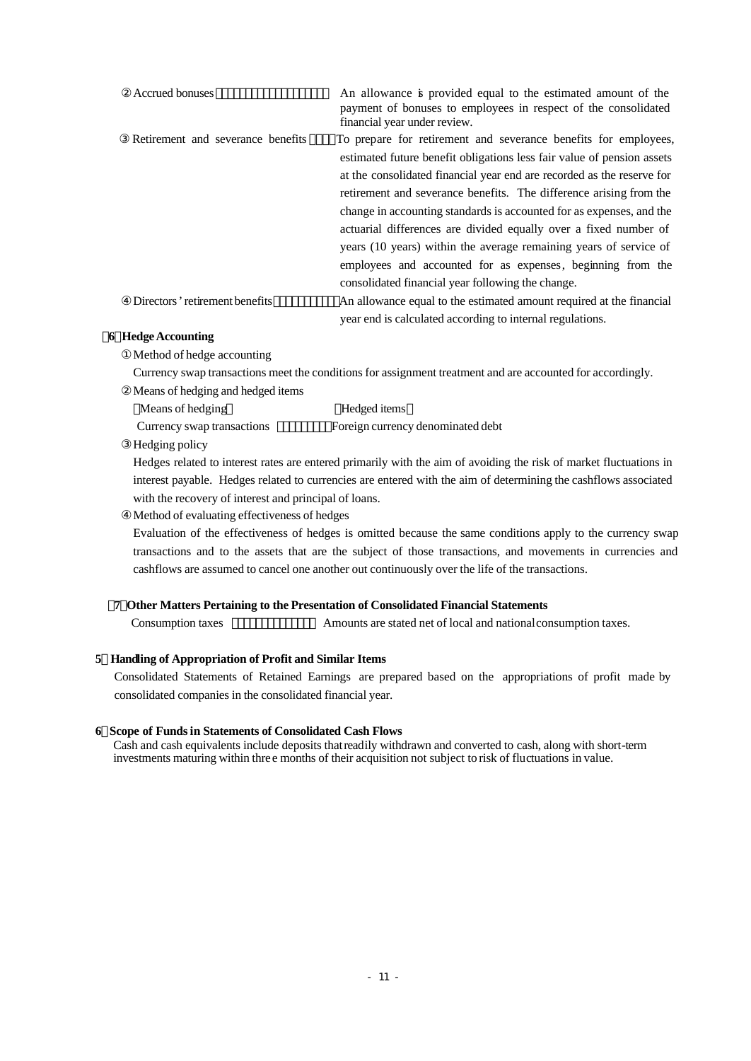| Accrued bonuses                   | An allowance is provided equal to the estimated amount of the<br>payment of bonuses to employees in respect of the consolidated<br>financial year under review. |
|-----------------------------------|-----------------------------------------------------------------------------------------------------------------------------------------------------------------|
| Retirement and severance benefits | To prepare for retirement and severance benefits for employees,                                                                                                 |
|                                   | estimated future benefit obligations less fair value of pension assets                                                                                          |
|                                   | at the consolidated financial year end are recorded as the reserve for                                                                                          |
|                                   | retirement and severance benefits. The difference arising from the                                                                                              |
|                                   | change in accounting standards is accounted for as expenses, and the                                                                                            |
|                                   | actuarial differences are divided equally over a fixed number of                                                                                                |
|                                   | years (10 years) within the average remaining years of service of                                                                                               |
|                                   | employees and accounted for as expenses, beginning from the                                                                                                     |
|                                   | consolidated financial year following the change.                                                                                                               |
| Directors' retirement benefits    | An allowance equal to the estimated amount required at the financial                                                                                            |
|                                   | year end is calculated according to internal regulations.                                                                                                       |

#### **6 Hedge Accounting**

Method of hedge accounting

Currency swap transactions meet the conditions for assignment treatment and are accounted for accordingly. Means of hedging and hedged items

| Means of hedging           | Hedged items                      |
|----------------------------|-----------------------------------|
| Currency swap transactions | Foreign currency denominated debt |
| Hedging policy             |                                   |

Hedges related to interest rates are entered primarily with the aim of avoiding the risk of market fluctuations in interest payable. Hedges related to currencies are entered with the aim of determining the cashflows associated with the recovery of interest and principal of loans.

Method of evaluating effectiveness of hedges

Evaluation of the effectiveness of hedges is omitted because the same conditions apply to the currency swap transactions and to the assets that are the subject of those transactions, and movements in currencies and cashflows are assumed to cancel one another out continuously over the life of the transactions.

#### **7 Other Matters Pertaining to the Presentation of Consolidated Financial Statements**

Consumption taxes **Amounts** are stated net of local and national consumption taxes.

#### **5 Handling of Appropriation of Profit and Similar Items**

Consolidated Statements of Retained Earnings are prepared based on the appropriations of profit made by consolidated companies in the consolidated financial year.

#### **6 Scope of Funds in Statements of Consolidated Cash Flows**

Cash and cash equivalents include deposits that readily withdrawn and converted to cash, along with short-term investments maturing within three months of their acquisition not subject to risk of fluctuations in value.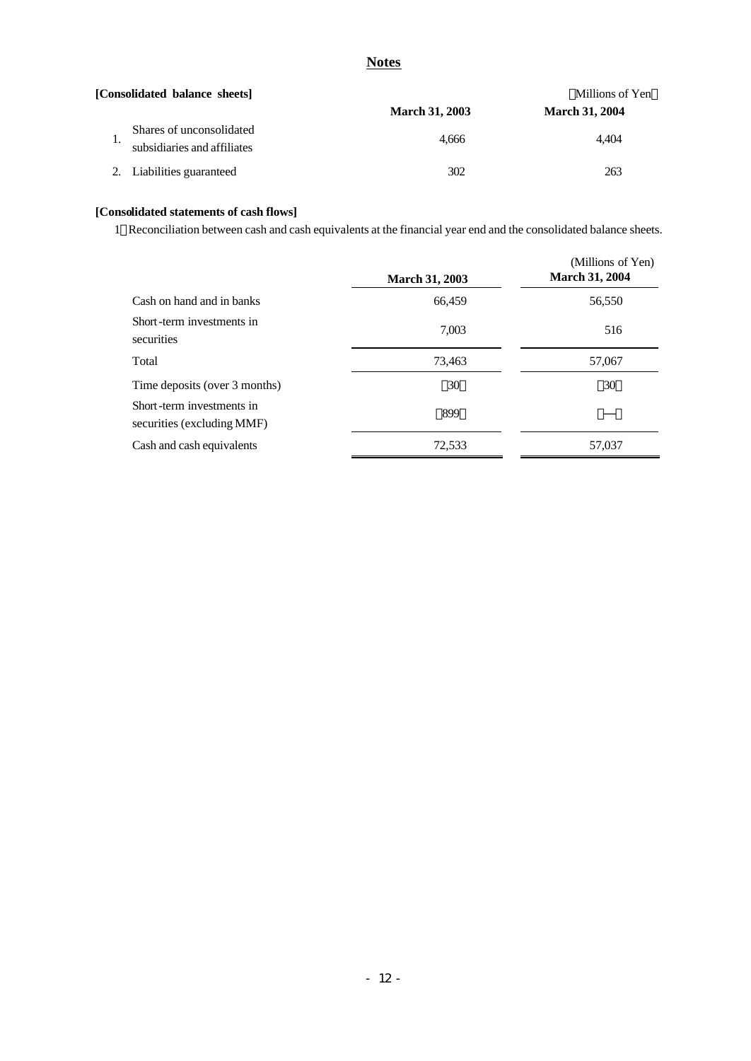### **Notes**

|     | [Consolidated balance sheets]                           | Millions of Yen       |                       |  |
|-----|---------------------------------------------------------|-----------------------|-----------------------|--|
|     |                                                         | <b>March 31, 2003</b> | <b>March 31, 2004</b> |  |
| . . | Shares of unconsolidated<br>subsidiaries and affiliates | 4.666                 | 4.404                 |  |
|     | Liabilities guaranteed                                  | 302                   | 263                   |  |

### **[Consolidated statements of cash flows]**

1 Reconciliation between cash and cash equivalents at the financial year end and the consolidated balance sheets.

|                                                         | <b>March 31, 2003</b> | (Millions of Yen)<br><b>March 31, 2004</b> |
|---------------------------------------------------------|-----------------------|--------------------------------------------|
| Cash on hand and in banks                               | 66,459                | 56,550                                     |
| Short-term investments in<br>securities                 | 7,003                 | 516                                        |
| Total                                                   | 73,463                | 57,067                                     |
| Time deposits (over 3 months)                           | 30                    | 30                                         |
| Short-term investments in<br>securities (excluding MMF) | 899                   |                                            |
| Cash and cash equivalents                               | 72,533                | 57,037                                     |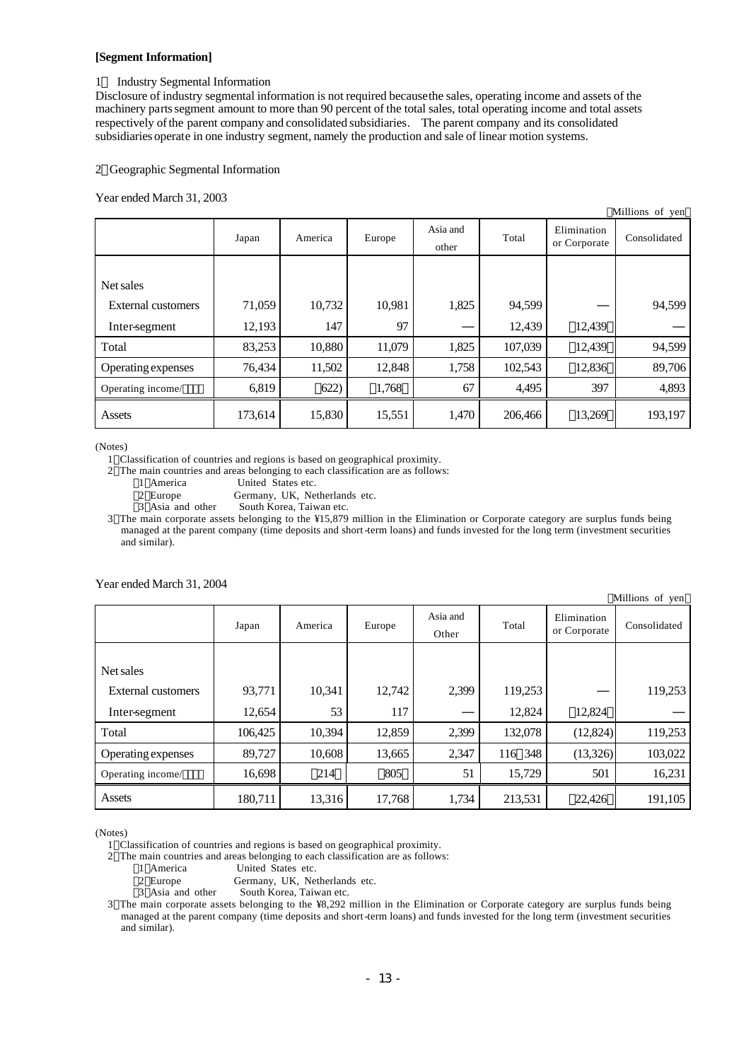#### **[Segment Information]**

#### 1 Industry Segmental Information

Disclosure of industry segmental information is not required because the sales, operating income and assets of the machinery parts segment amount to more than 90 percent of the total sales, total operating income and total assets respectively of the parent company and consolidated subsidiaries. The parent company and its consolidated subsidiaries operate in one industry segment, namely the production and sale of linear motion systems.

#### 2 Geographic Segmental Information

Year ended March 31, 2003

|                    |         |         |        |                   |         |                             | Millions of yen |
|--------------------|---------|---------|--------|-------------------|---------|-----------------------------|-----------------|
|                    | Japan   | America | Europe | Asia and<br>other | Total   | Elimination<br>or Corporate | Consolidated    |
|                    |         |         |        |                   |         |                             |                 |
| Net sales          |         |         |        |                   |         |                             |                 |
| External customers | 71,059  | 10,732  | 10,981 | 1,825             | 94,599  |                             | 94,599          |
| Inter-segment      | 12,193  | 147     | 97     |                   | 12,439  | 12,439                      |                 |
| Total              | 83,253  | 10,880  | 11,079 | 1,825             | 107,039 | 12,439                      | 94,599          |
| Operating expenses | 76,434  | 11,502  | 12,848 | 1,758             | 102,543 | 12,836                      | 89,706          |
| Operating income/  | 6,819   | 622)    | 1,768  | 67                | 4,495   | 397                         | 4,893           |
| Assets             | 173,614 | 15,830  | 15,551 | 1,470             | 206,466 | 13,269                      | 193,197         |

(Notes)

1 Classification of countries and regions is based on geographical proximity.

2 The main countries and areas belonging to each classification are as follows:

- 1 America United States etc.
- 2 Europe Germany, UK, Netherlands etc.<br>
3 Asia and other South Korea, Taiwan etc.
- South Korea, Taiwan etc.

3 The main corporate assets belonging to the ¥15,879 million in the Elimination or Corporate category are surplus funds being managed at the parent company (time deposits and short-term loans) and funds invested for the long term (investment securities and similar).

|                    |         |         |        |                   |         |                             | Millions of yen |
|--------------------|---------|---------|--------|-------------------|---------|-----------------------------|-----------------|
|                    | Japan   | America | Europe | Asia and<br>Other | Total   | Elimination<br>or Corporate | Consolidated    |
|                    |         |         |        |                   |         |                             |                 |
| Net sales          |         |         |        |                   |         |                             |                 |
| External customers | 93,771  | 10,341  | 12,742 | 2,399             | 119,253 |                             | 119,253         |
| Inter-segment      | 12,654  | 53      | 117    |                   | 12,824  | 12,824                      |                 |
| Total              | 106,425 | 10,394  | 12,859 | 2,399             | 132,078 | (12, 824)                   | 119,253         |
| Operating expenses | 89,727  | 10,608  | 13,665 | 2,347             | 116 348 | (13,326)                    | 103,022         |
| Operating income/  | 16,698  | 214     | 805    | 51                | 15,729  | 501                         | 16,231          |
| Assets             | 180,711 | 13,316  | 17,768 | 1,734             | 213,531 | 22,426                      | 191,105         |

Year ended March 31, 2004

(Notes)

1 Classification of countries and regions is based on geographical proximity.

2 The main countries and areas belonging to each classification are as follows:

1 America United States etc.

- 2 Europe Germany, UK, Netherlands etc.<br>3 Asia and other South Korea, Taiwan etc.
- South Korea, Taiwan etc.

3 The main corporate assets belonging to the ¥8,292 million in the Elimination or Corporate category are surplus funds being managed at the parent company (time deposits and short-term loans) and funds invested for the long term (investment securities and similar).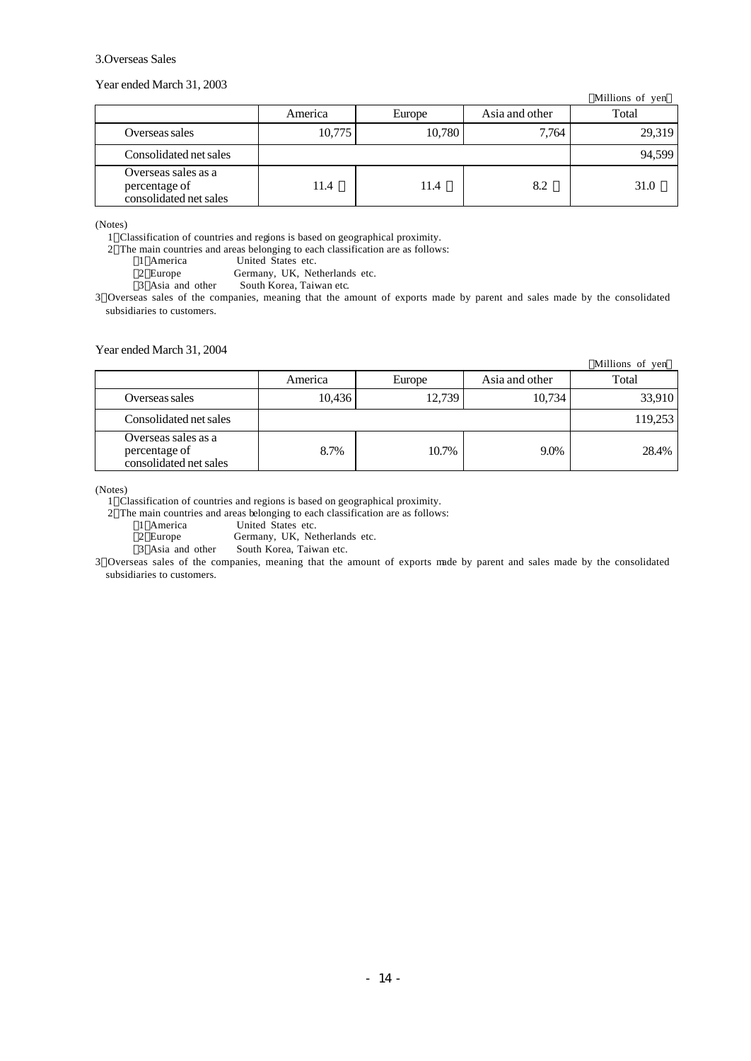#### 3.Overseas Sales

Year ended March 31, 2003

|                                                                |         |        |                | Millions of yen |
|----------------------------------------------------------------|---------|--------|----------------|-----------------|
|                                                                | America | Europe | Asia and other | Total           |
| Overseas sales                                                 | 10,775  | 10,780 | 7,764          | 29,319          |
| Consolidated net sales                                         |         |        |                | 94,599          |
| Overseas sales as a<br>percentage of<br>consolidated net sales | 11.4    | 11.4   | 8.2            | 31.0            |

(Notes)

1 Classification of countries and regions is based on geographical proximity.

2 The main countries and areas belonging to each classification are as follows:

1 America United States etc.<br>2 Europe Germany, UK, Net

Germany, UK, Netherlands etc.

3 Asia and other South Korea, Taiwan etc.

3 Overseas sales of the companies, meaning that the amount of exports made by parent and sales made by the consolidated subsidiaries to customers.

Year ended March 31, 2004

|                                                                |         |        |                | Millions of yen |
|----------------------------------------------------------------|---------|--------|----------------|-----------------|
|                                                                | America | Europe | Asia and other | Total           |
| Overseas sales                                                 | 10,436  | 12,739 | 10,734         | 33,910          |
| Consolidated net sales                                         |         |        |                | 119,253         |
| Overseas sales as a<br>percentage of<br>consolidated net sales | 8.7%    | 10.7%  | $9.0\%$        | 28.4%           |

(Notes)

1 Classification of countries and regions is based on geographical proximity.

2 The main countries and areas belonging to each classification are as follows:

1 America United States etc.

2 Europe Germany, UK, Netherlands etc.

3 Asia and other South Korea, Taiwan etc.

3 Overseas sales of the companies, meaning that the amount of exports made by parent and sales made by the consolidated subsidiaries to customers.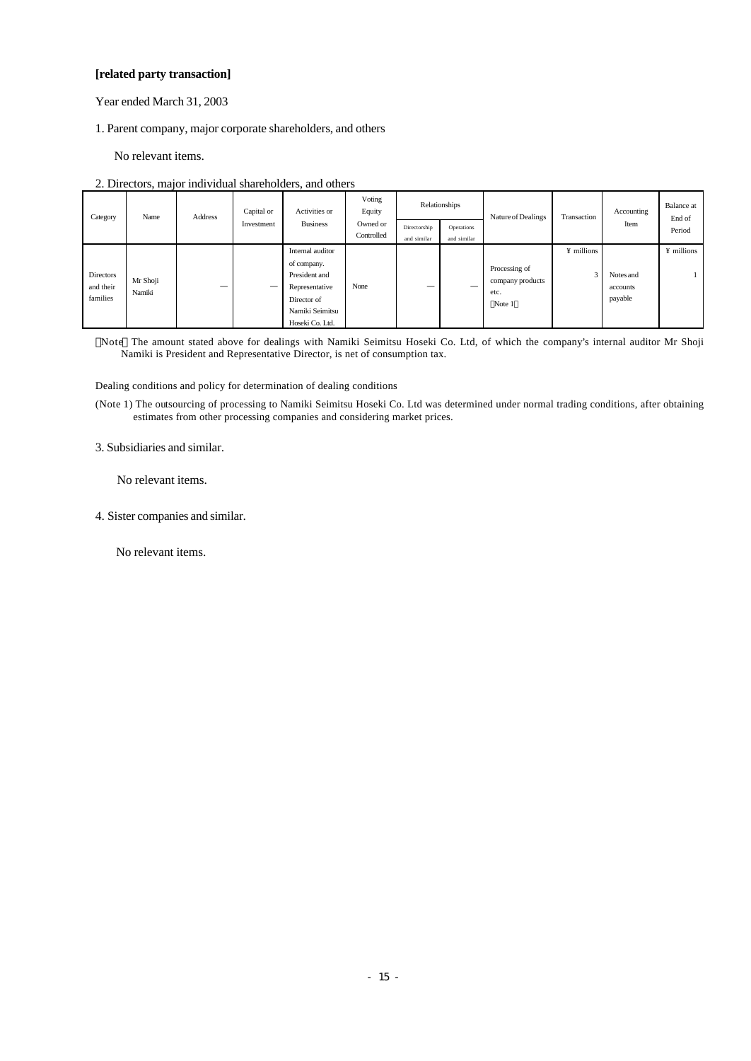#### **[related party transaction]**

Year ended March 31, 2003

1. Parent company, major corporate shareholders, and others

No relevant items.

2. Directors, major individual shareholders, and others

| Category  | Name     | Address | Activities or<br>Capital or | Voting<br>Equity | Relationships          |                             | Nature of Dealings        | Transaction      | Accounting | <b>Balance</b> at<br>End of |            |
|-----------|----------|---------|-----------------------------|------------------|------------------------|-----------------------------|---------------------------|------------------|------------|-----------------------------|------------|
|           |          |         | Investment                  | <b>Business</b>  | Owned or<br>Controlled | Directorship<br>and similar | Operations<br>and similar |                  |            | Item                        | Period     |
|           |          |         |                             |                  |                        |                             |                           |                  |            |                             |            |
|           |          |         |                             | Internal auditor |                        |                             |                           |                  | ¥ millions |                             | ¥ millions |
|           |          |         |                             | of company.      |                        |                             |                           | Processing of    |            |                             |            |
| Directors | Mr Shoji |         |                             | President and    |                        |                             |                           | company products | 3          | Notes and                   |            |
| and their | Namiki   |         |                             | Representative   | None                   |                             |                           | etc.             |            | accounts                    |            |
| families  |          |         |                             | Director of      |                        |                             |                           | Note 1           |            | payable                     |            |
|           |          |         |                             | Namiki Seimitsu  |                        |                             |                           |                  |            |                             |            |
|           |          |         |                             | Hoseki Co. Ltd.  |                        |                             |                           |                  |            |                             |            |

Note The amount stated above for dealings with Namiki Seimitsu Hoseki Co. Ltd, of which the company's internal auditor Mr Shoji Namiki is President and Representative Director, is net of consumption tax.

Dealing conditions and policy for determination of dealing conditions

(Note 1) The outsourcing of processing to Namiki Seimitsu Hoseki Co. Ltd was determined under normal trading conditions, after obtaining estimates from other processing companies and considering market prices.

3. Subsidiaries and similar.

No relevant items.

4. Sister companies and similar.

No relevant items.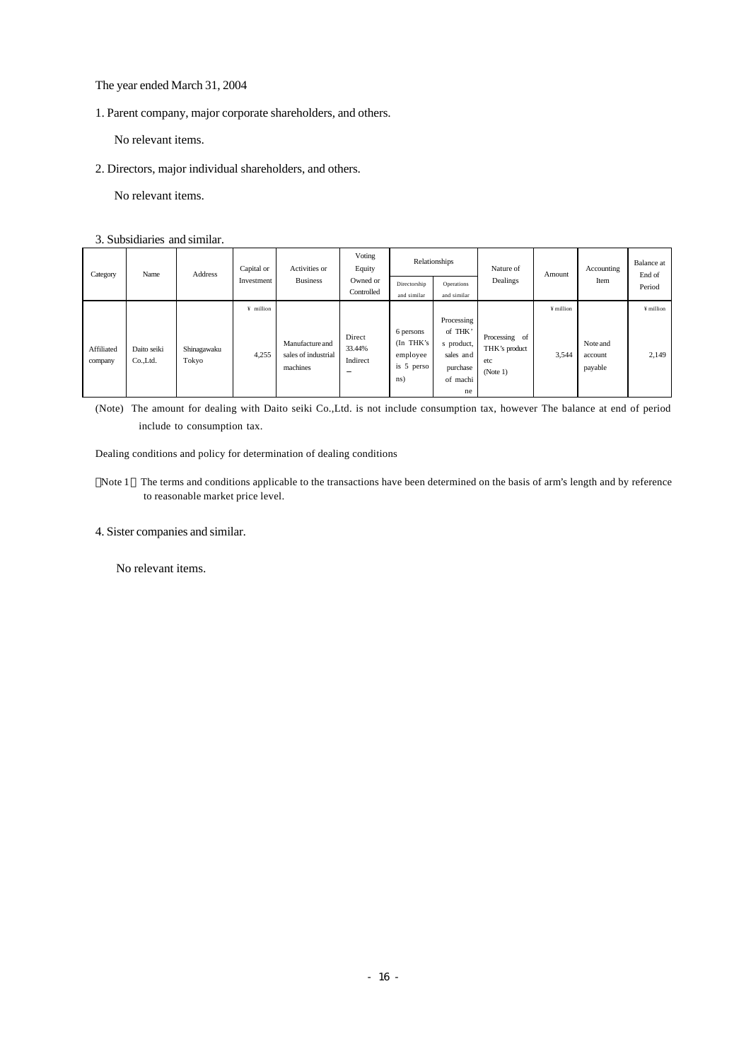The year ended March 31, 2004

1. Parent company, major corporate shareholders, and others.

No relevant items.

2. Directors, major individual shareholders, and others.

No relevant items.

3. Subsidiaries and similar.

| Category              | Name                  | Address              | Capital or<br>Investment | Activities or<br><b>Business</b>                   | Voting<br>Equity<br>Owned or<br>Controlled | Directorship<br>and similar                             | Relationships<br>Operations<br>and similar                                     | Nature of<br>Dealings                             | Amount             | Accounting<br>Item             | Balance at<br>End of<br>Period |
|-----------------------|-----------------------|----------------------|--------------------------|----------------------------------------------------|--------------------------------------------|---------------------------------------------------------|--------------------------------------------------------------------------------|---------------------------------------------------|--------------------|--------------------------------|--------------------------------|
| Affiliated<br>company | Daito seiki<br>CoLtd. | Shinagawaku<br>Tokyo | ¥ million<br>4,255       | Manufacture and<br>sales of industrial<br>machines | Direct<br>33.44%<br>Indirect               | 6 persons<br>(In THK's<br>employee<br>is 5 perso<br>ns) | Processing<br>of THK'<br>s product,<br>sales and<br>purchase<br>of machi<br>ne | Processing of<br>THK's product<br>etc<br>(Note 1) | ¥ million<br>3,544 | Note and<br>account<br>payable | ¥ million<br>2,149             |

(Note) The amount for dealing with Daito seiki Co.,Ltd. is not include consumption tax, however The balance at end of period include to consumption tax.

Dealing conditions and policy for determination of dealing conditions

Note 1 The terms and conditions applicable to the transactions have been determined on the basis of arm's length and by reference to reasonable market price level.

4. Sister companies and similar.

No relevant items.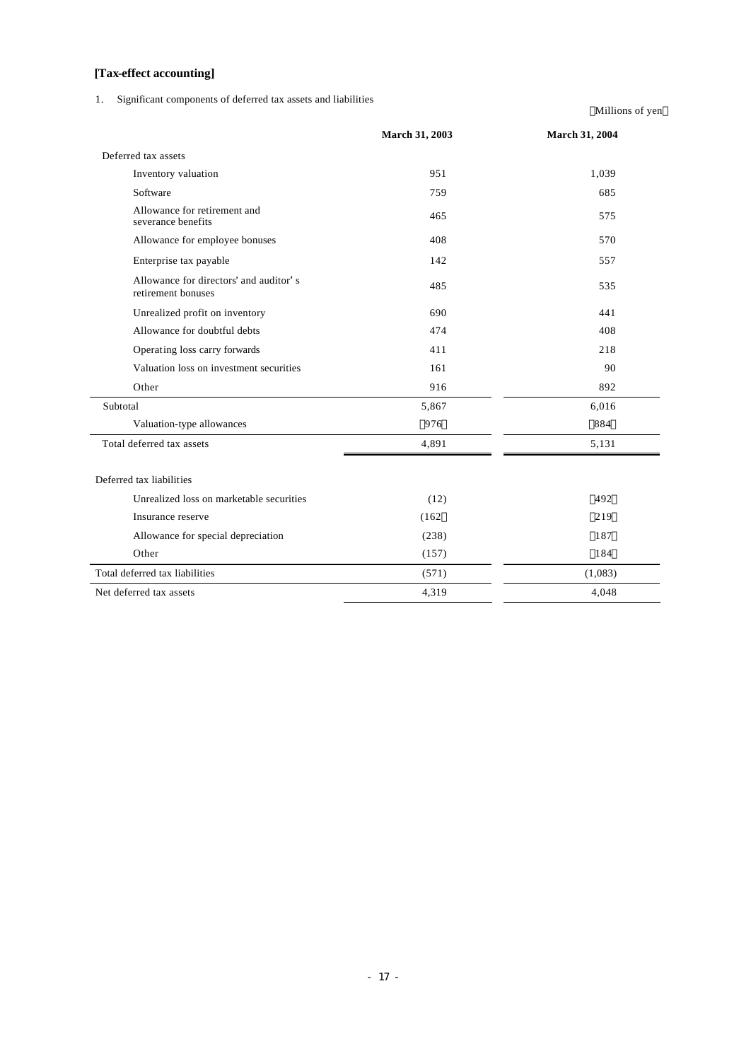#### **[Tax-effect accounting]**

1. Significant components of deferred tax assets and liabilities

**March 31, 2003 March 31, 2004** Deferred tax assets Inventory valuation and the set of the set of the set of the set of the set of the set of the set of the set of the set of the set of the set of the set of the set of the set of the set of the set of the set of the set of Software 685 Allowance for retirement and Allowance for retirement and<br>severance benefits 575 Allowance for employee bonuses 408 408 570 Enterprise tax payable 557 Allowance for directors' and auditor's Allowance for directors and auditor s<br>retirement bonuses 535 Unrealized profit on inventory 690 690 441 Allowance for doubtful debts 474 408 Operating loss carry forwards 411 218 Valuation loss on investment securities 161 90 Other  $916$  892  $\frac{1}{5,867}$  6,016 Valuation-type allowances and the set of the set of the set of the set of the set of the set of the set of the set of the set of the set of the set of the set of the set of the set of the set of the set of the set of the s Total deferred tax assets 4,891 5,131 Deferred tax liabilities Unrealized loss on marketable securities (12) (12) 492 Insurance reserve (162 219) Allowance for special depreciation (238) 187 Other (157) 184 Total deferred tax liabilities (571) (1,083) Net deferred tax assets 4,048

Millions of yen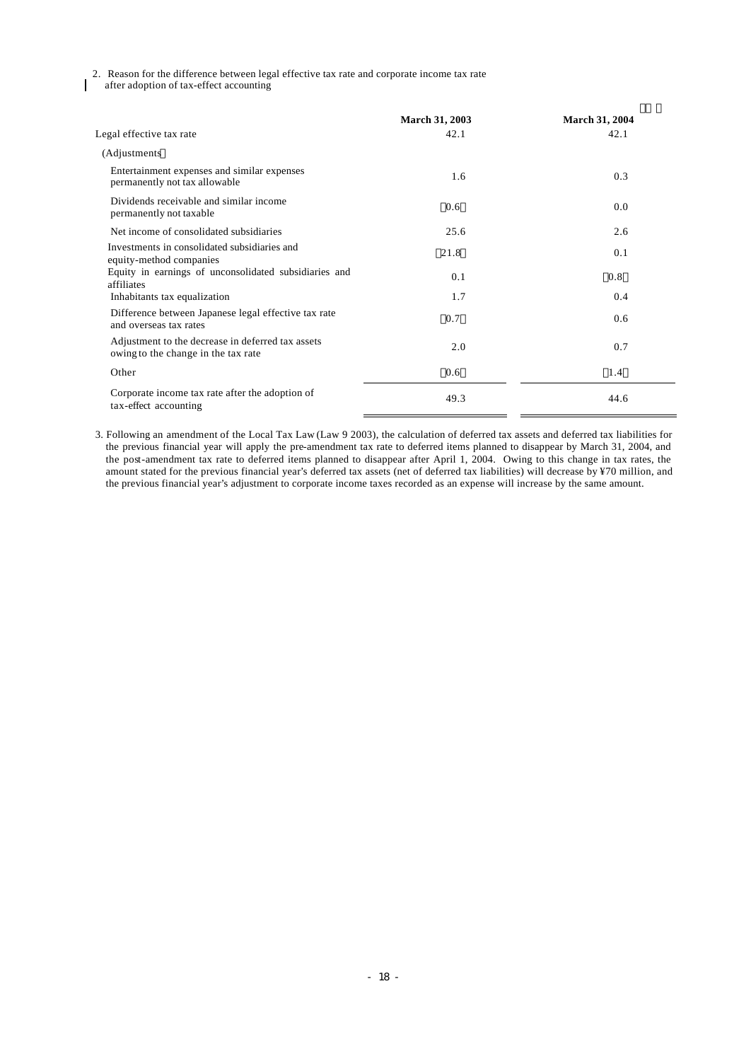2. Reason for the difference between legal effective tax rate and corporate income tax rate

after adoption of tax-effect accounting

| Legal effective tax rate                                                                 | <b>March 31, 2003</b><br>42.1 | <b>March 31, 2004</b><br>42.1 |
|------------------------------------------------------------------------------------------|-------------------------------|-------------------------------|
| (Adjustments)                                                                            |                               |                               |
| Entertainment expenses and similar expenses<br>permanently not tax allowable             | 1.6                           | 0.3                           |
| Dividends receivable and similar income<br>permanently not taxable                       | 0.6                           | 0.0                           |
| Net income of consolidated subsidiaries                                                  | 25.6                          | 2.6                           |
| Investments in consolidated subsidiaries and<br>equity-method companies                  | 21.8                          | 0.1                           |
| Equity in earnings of unconsolidated subsidiaries and<br>affiliates                      | 0.1                           | 0.8                           |
| Inhabitants tax equalization                                                             | 1.7                           | 0.4                           |
| Difference between Japanese legal effective tax rate<br>and overseas tax rates           | 0.7                           | 0.6                           |
| Adjustment to the decrease in deferred tax assets<br>owing to the change in the tax rate | 2.0                           | 0.7                           |
| Other                                                                                    | 0.6                           | 1.4                           |
| Corporate income tax rate after the adoption of<br>tax-effect accounting                 | 49.3                          | 44.6                          |

3. Following an amendment of the Local Tax Law (Law 9 2003), the calculation of deferred tax assets and deferred tax liabilities for the previous financial year will apply the pre-amendment tax rate to deferred items planned to disappear by March 31, 2004, and the post-amendment tax rate to deferred items planned to disappear after April 1, 2004. Owing to this change in tax rates, the amount stated for the previous financial year's deferred tax assets (net of deferred tax liabilities) will decrease by ¥70 million, and the previous financial year's adjustment to corporate income taxes recorded as an expense will increase by the same amount.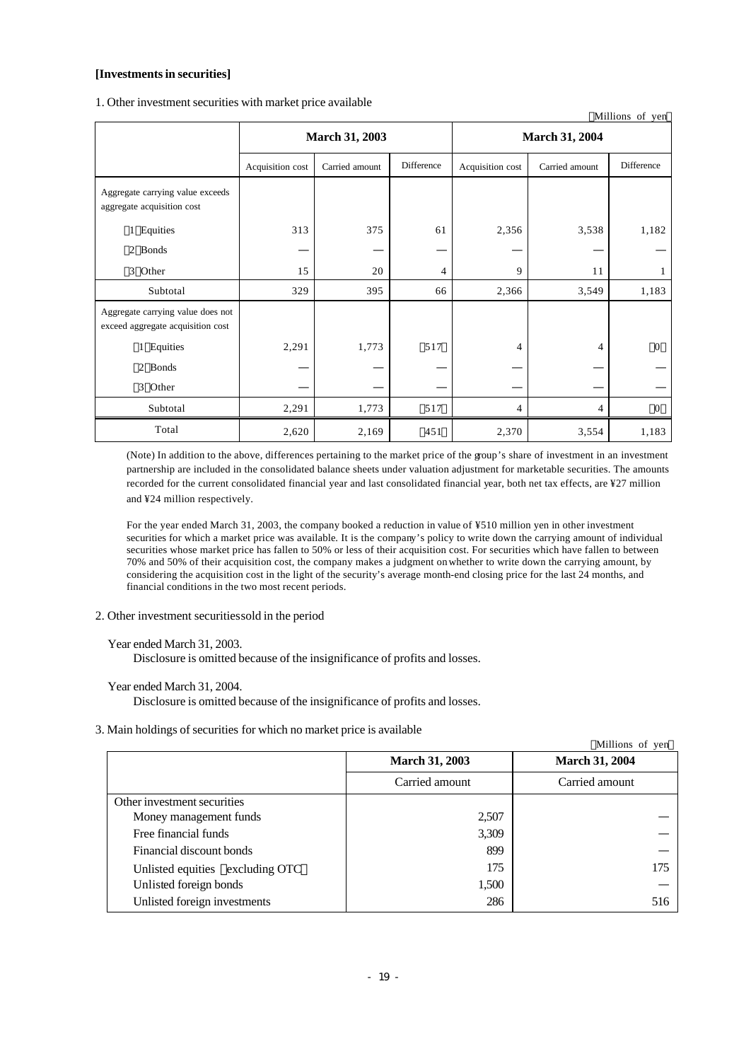#### **[Investments in securities]**

1. Other investment securities with market price available

| л.<br>Millions of yen                                                                                      |                  |                |            |                       |                |                |  |  |  |  |  |
|------------------------------------------------------------------------------------------------------------|------------------|----------------|------------|-----------------------|----------------|----------------|--|--|--|--|--|
|                                                                                                            |                  | March 31, 2003 |            | <b>March 31, 2004</b> |                |                |  |  |  |  |  |
|                                                                                                            | Acquisition cost | Carried amount | Difference | Acquisition cost      | Carried amount | Difference     |  |  |  |  |  |
| Aggregate carrying value exceeds<br>aggregate acquisition cost                                             |                  |                |            |                       |                |                |  |  |  |  |  |
| 1 Equities                                                                                                 | 313              | 375            | 61         | 2,356                 | 3,538          | 1,182          |  |  |  |  |  |
| 2 Bonds                                                                                                    |                  |                |            |                       |                |                |  |  |  |  |  |
| 3 Other                                                                                                    | 15               | 20             | 4          | 9                     | 11             |                |  |  |  |  |  |
| Subtotal                                                                                                   | 329              | 395            | 66         | 2,366                 | 3,549          | 1,183          |  |  |  |  |  |
| Aggregate carrying value does not<br>exceed aggregate acquisition cost<br>1 Equities<br>2 Bonds<br>3 Other | 2,291            | 1,773          | 517        | 4                     | 4              | $\mathbf{0}$   |  |  |  |  |  |
| Subtotal                                                                                                   | 2,291            | 1,773          | 517        | 4                     | 4              | $\overline{0}$ |  |  |  |  |  |
| Total                                                                                                      | 2,620            | 2,169          | 451        | 2,370                 | 3,554          | 1,183          |  |  |  |  |  |

(Note) In addition to the above, differences pertaining to the market price of the group's share of investment in an investment partnership are included in the consolidated balance sheets under valuation adjustment for marketable securities. The amounts recorded for the current consolidated financial year and last consolidated financial year, both net tax effects, are ¥27 million and ¥24 million respectively.

For the year ended March 31, 2003, the company booked a reduction in value of ¥510 million yen in other investment securities for which a market price was available. It is the company's policy to write down the carrying amount of individual securities whose market price has fallen to 50% or less of their acquisition cost. For securities which have fallen to between 70% and 50% of their acquisition cost, the company makes a judgment on whether to write down the carrying amount, by considering the acquisition cost in the light of the security's average month-end closing price for the last 24 months, and financial conditions in the two most recent periods.

2. Other investment securities sold in the period

#### Year ended March 31, 2003.

Disclosure is omitted because of the insignificance of profits and losses.

#### Year ended March 31, 2004.

Disclosure is omitted because of the insignificance of profits and losses.

3. Main holdings of securities for which no market price is available

|                                 | <b>March 31, 2003</b> | <b>March 31, 2004</b> |
|---------------------------------|-----------------------|-----------------------|
|                                 | Carried amount        | Carried amount        |
| Other investment securities     |                       |                       |
| Money management funds          | 2,507                 |                       |
| Free financial funds            | 3,309                 |                       |
| Financial discount bonds        | 899                   |                       |
| Unlisted equities excluding OTC | 175                   | 175                   |
| Unlisted foreign bonds          | 1,500                 |                       |
| Unlisted foreign investments    | 286                   | 516                   |

Millions of yen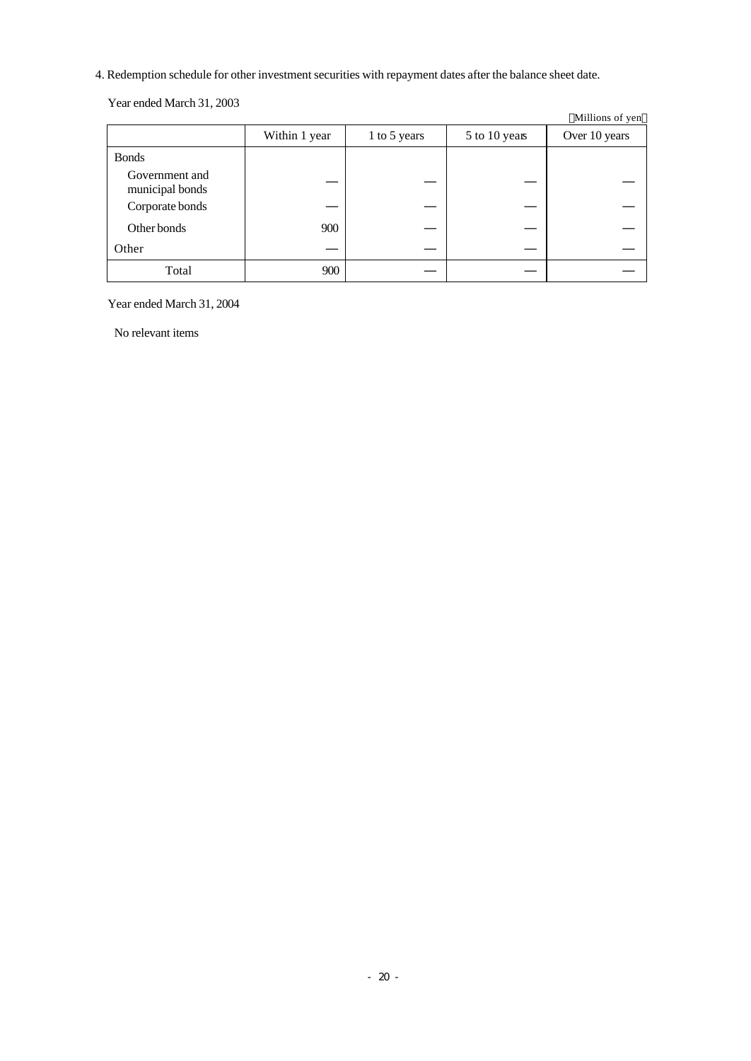4. Redemption schedule for other investment securities with repayment dates after the balance sheet date.

Year ended March 31, 2003

|                                                      |               |              |               | Millions of yen |
|------------------------------------------------------|---------------|--------------|---------------|-----------------|
|                                                      | Within 1 year | 1 to 5 years | 5 to 10 years | Over 10 years   |
| <b>Bonds</b>                                         |               |              |               |                 |
| Government and<br>municipal bonds<br>Corporate bonds |               |              |               |                 |
| Other bonds                                          | 900           |              |               |                 |
| Other                                                |               |              |               |                 |
| Total                                                | 900           |              |               |                 |

Year ended March 31, 2004

No relevant items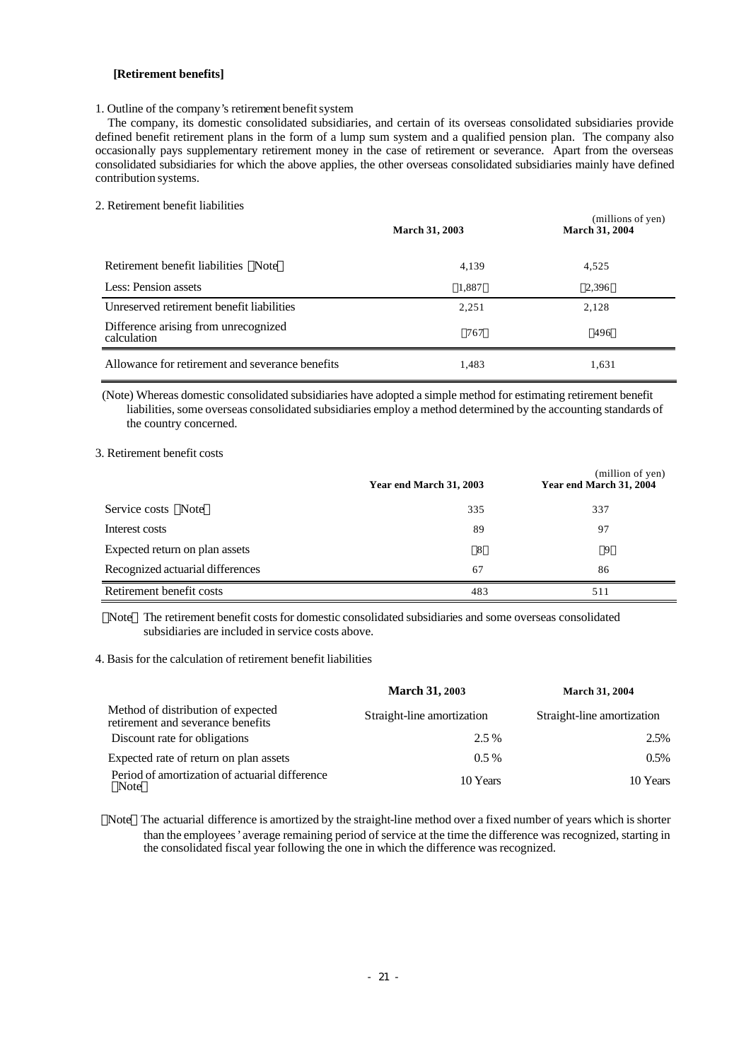#### **[Retirement benefits]**

#### 1. Outline of the company's retirement benefit system

The company, its domestic consolidated subsidiaries, and certain of its overseas consolidated subsidiaries provide defined benefit retirement plans in the form of a lump sum system and a qualified pension plan. The company also occasionally pays supplementary retirement money in the case of retirement or severance. Apart from the overseas consolidated subsidiaries for which the above applies, the other overseas consolidated subsidiaries mainly have defined contribution systems.

#### 2. Retirement benefit liabilities

|                                                     | March 31, 2003 | (millions of yen)<br><b>March 31, 2004</b> |
|-----------------------------------------------------|----------------|--------------------------------------------|
| Retirement benefit liabilities<br>Note              | 4,139          | 4,525                                      |
| Less: Pension assets                                | 1,887          | 2,396                                      |
| Unreserved retirement benefit liabilities           | 2,251          | 2,128                                      |
| Difference arising from unrecognized<br>calculation | 767            | 496                                        |
| Allowance for retirement and severance benefits     | 1,483          | 1,631                                      |

(Note) Whereas domestic consolidated subsidiaries have adopted a simple method for estimating retirement benefit liabilities, some overseas consolidated subsidiaries employ a method determined by the accounting standards of the country concerned.

#### 3. Retirement benefit costs

|                                  | Year end March 31, 2003 | (million of yen)<br>Year end March 31, 2004 |
|----------------------------------|-------------------------|---------------------------------------------|
| Service costs Note               | 335                     | 337                                         |
| Interest costs                   | 89                      | 97                                          |
| Expected return on plan assets   | 8                       | 9                                           |
| Recognized actuarial differences | 67                      | 86                                          |
| Retirement benefit costs         | 483                     | 511                                         |

Note The retirement benefit costs for domestic consolidated subsidiaries and some overseas consolidated subsidiaries are included in service costs above.

4. Basis for the calculation of retirement benefit liabilities

|                                                                         | <b>March 31, 2003</b>      | <b>March 31, 2004</b>      |
|-------------------------------------------------------------------------|----------------------------|----------------------------|
| Method of distribution of expected<br>retirement and severance benefits | Straight-line amortization | Straight-line amortization |
| Discount rate for obligations                                           | $2.5\%$                    | 2.5%                       |
| Expected rate of return on plan assets                                  | $0.5\%$                    | $0.5\%$                    |
| Period of amortization of actuarial difference<br><b>Note</b>           | 10 Years                   | 10 Years                   |

Note The actuarial difference is amortized by the straight-line method over a fixed number of years which is shorter than the employees' average remaining period of service at the time the difference was recognized, starting in the consolidated fiscal year following the one in which the difference was recognized.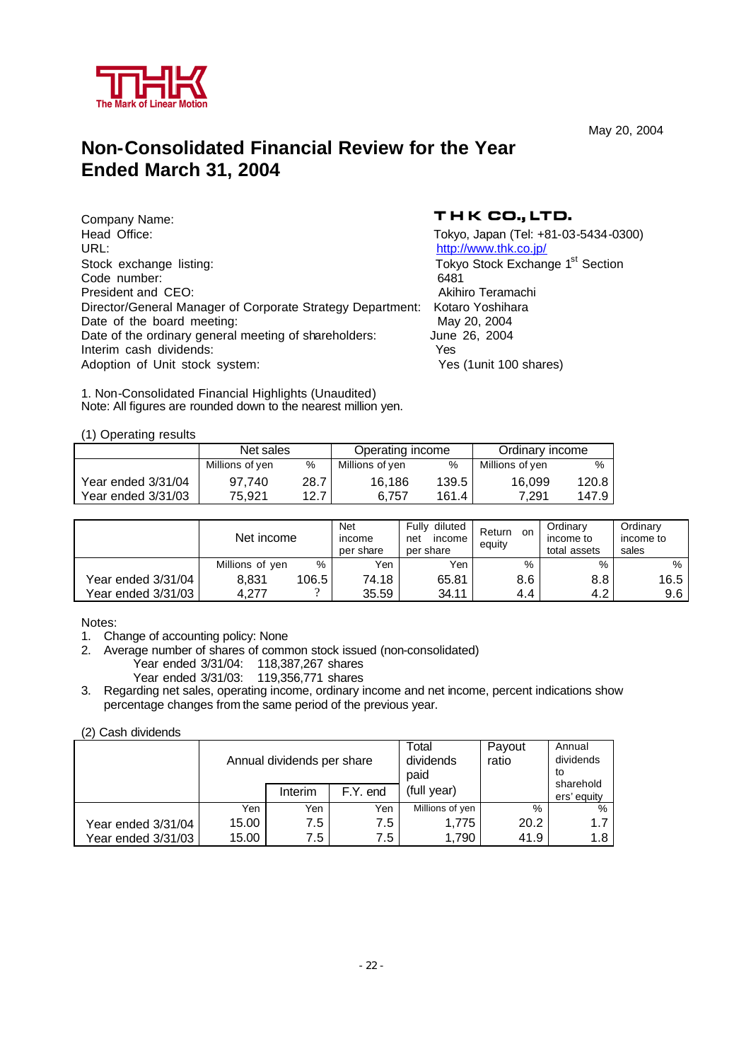

May 20, 2004

## **Non-Consolidated Financial Review for the Year Ended March 31, 2004**

Company Name: Head Office: Thead Office: The Tokyo, Japan (Tel: +81-03-5434-0300) URL: the contract of the contract of the contract of the contract of the contract of the contract of the contract of the contract of the contract of the contract of the contract of the contract of the contract of the contr Stock exchange listing: Tokyo Stock Exchange 1<sup>st</sup> Section Code number: 6481 President and CEO: Akihiro Teramachi Director/General Manager of Corporate Strategy Department: Kotaro Yoshihara Date of the board meeting: May 20, 2004 Date of the ordinary general meeting of shareholders: June 26, 2004 Interim cash dividends: Yes Adoption of Unit stock system: Yes (1unit 100 shares)

1. Non-Consolidated Financial Highlights (Unaudited) Note: All figures are rounded down to the nearest million yen.

### THK CO., LTD.

(1) Operating results

|                    | Net sales       |      | Operating income |       | Ordinary income |       |  |
|--------------------|-----------------|------|------------------|-------|-----------------|-------|--|
|                    | Millions of yen | $\%$ | Millions of yen  | %     | Millions of yen | %     |  |
| Year ended 3/31/04 | 97.740          | 28.7 | 16.186           | 139.5 | 16.099          | 120.8 |  |
| Year ended 3/31/03 | 75.921          | 12.7 | 6.757            | 161.4 | 7.291           | 147.9 |  |

|                      | Net income      |       | Fully<br>diluted<br><b>Net</b><br>income<br>net<br>income<br>per share<br>per share |       | Return<br>on<br>equity | Ordinary<br>income to<br>total assets | Ordinarv<br>income to<br>sales |
|----------------------|-----------------|-------|-------------------------------------------------------------------------------------|-------|------------------------|---------------------------------------|--------------------------------|
|                      | Millions of yen | %     | Yen                                                                                 | Yen   | %                      | %                                     | %                              |
| Year ended 3/31/04   | 8.831           | 106.5 | 74.18                                                                               | 65.81 | 8.6                    | 8.8                                   | 16.5                           |
| Year ended 3/31/03 l | 4.277           |       | 35.59                                                                               | 34.11 | 4.4                    | 4.2                                   | 9.6                            |

Notes:

1. Change of accounting policy: None

2. Average number of shares of common stock issued (non-consolidated) Year ended 3/31/04: 118,387,267 shares Year ended 3/31/03: 119,356,771 shares

3. Regarding net sales, operating income, ordinary income and net income, percent indications show percentage changes from the same period of the previous year.

#### (2) Cash dividends

|                      |       | Annual dividends per share |          | Total<br>dividends<br>paid | Payout<br>ratio | Annual<br>dividends<br>to |
|----------------------|-------|----------------------------|----------|----------------------------|-----------------|---------------------------|
|                      |       | Interim                    | F.Y. end | (full year)                |                 | sharehold<br>ers' equity  |
|                      | Yen   | Yen                        | Yen      | Millions of yen            | %               | %                         |
| Year ended 3/31/04   | 15.00 | 7.5                        | 7.5      | 1.775                      | 20.2            | 1.7                       |
| Year ended 3/31/03 l | 15.00 | 7.5                        | 7.5      | 1,790                      | 41.9            | 1.8                       |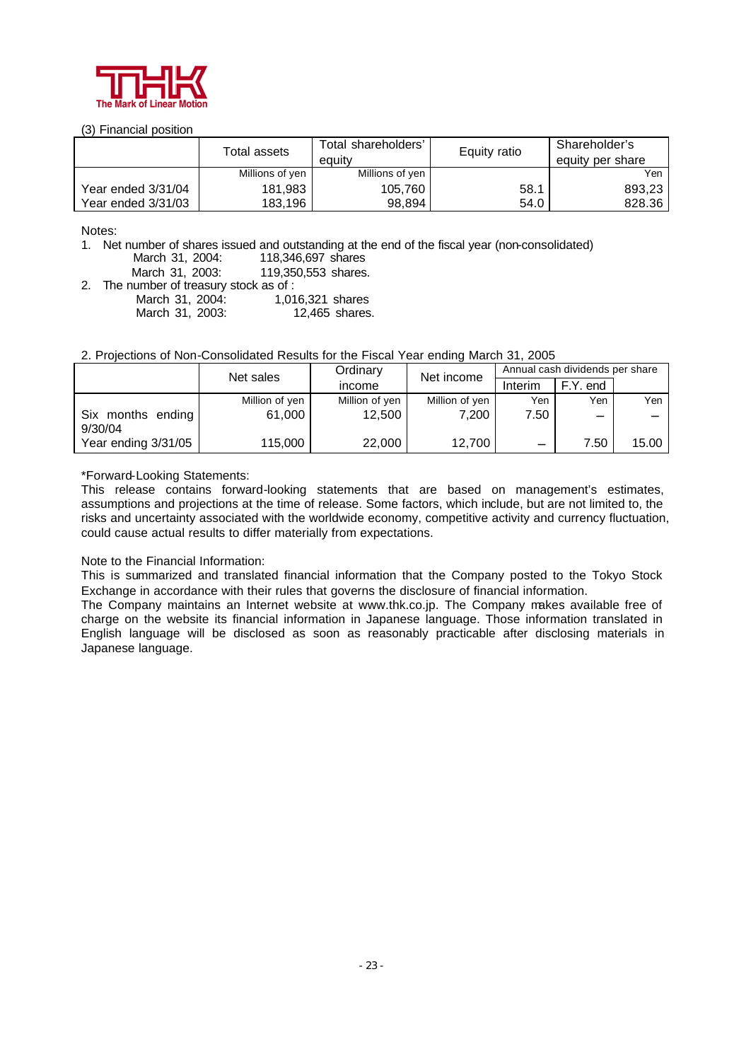

#### (3) Financial position

|                    | Total assets    | Total shareholders'<br>equity | Equity ratio | Shareholder's<br>equity per share |  |
|--------------------|-----------------|-------------------------------|--------------|-----------------------------------|--|
|                    | Millions of yen | Millions of yen               |              | Yen                               |  |
| Year ended 3/31/04 | 181.983         | 105,760                       | 58.1         | 893,23                            |  |
| Year ended 3/31/03 | 183.196         | 98,894                        | 54.0         | 828.36                            |  |

#### Notes:

1. Net number of shares issued and outstanding at the end of the fiscal year (non-consolidated) 118, 346, 697 shares

March 31, 2003: 119,350,553 shares.

2. The number of treasury stock as of :

March 31, 2004: 1,016,321 shares March 31, 2003: 12,465 shares.

2. Projections of Non-Consolidated Results for the Fiscal Year ending March 31, 2005

|                              | Net sales      | Ordinary       | Net income     | Annual cash dividends per share |          |       |  |
|------------------------------|----------------|----------------|----------------|---------------------------------|----------|-------|--|
|                              |                | <i>income</i>  |                | Interim                         | F.Y. end |       |  |
|                              | Million of yen | Million of yen | Million of yen | Yen                             | Yen      | Yen   |  |
| Six months ending<br>9/30/04 | 61,000         | 12,500         | 7,200          | 7.50                            |          |       |  |
| Year ending 3/31/05          | 115,000        | 22,000         | 12.700         |                                 | 7.50     | 15.00 |  |

\*Forward-Looking Statements:

This release contains forward-looking statements that are based on management's estimates, assumptions and projections at the time of release. Some factors, which include, but are not limited to, the risks and uncertainty associated with the worldwide economy, competitive activity and currency fluctuation, could cause actual results to differ materially from expectations.

Note to the Financial Information:

This is summarized and translated financial information that the Company posted to the Tokyo Stock Exchange in accordance with their rules that governs the disclosure of financial information.

The Company maintains an Internet website at www.thk.co.jp. The Company makes available free of charge on the website its financial information in Japanese language. Those information translated in English language will be disclosed as soon as reasonably practicable after disclosing materials in Japanese language.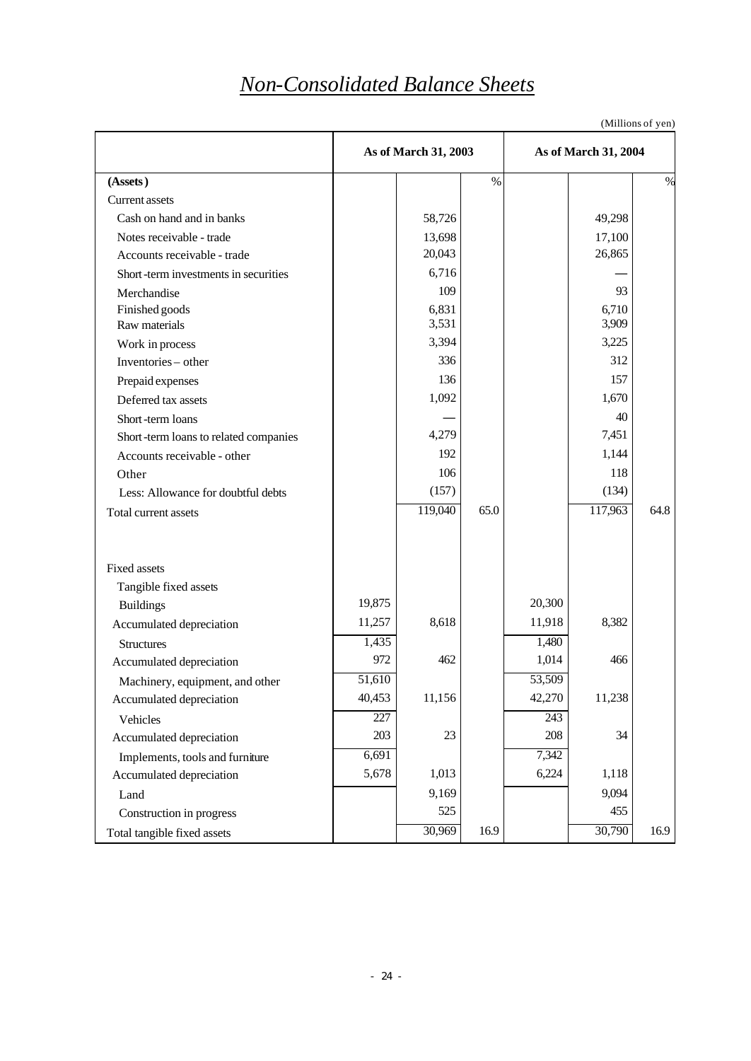# *Non-Consolidated Balance Sheets*

| (Millions 01 yen)                     |                      |         |      |        |                      |      |  |
|---------------------------------------|----------------------|---------|------|--------|----------------------|------|--|
|                                       | As of March 31, 2003 |         |      |        | As of March 31, 2004 |      |  |
| (Assets)                              |                      |         | $\%$ |        |                      | $\%$ |  |
| Current assets                        |                      |         |      |        |                      |      |  |
| Cash on hand and in banks             |                      | 58,726  |      |        | 49,298               |      |  |
| Notes receivable - trade              |                      | 13,698  |      |        | 17,100               |      |  |
| Accounts receivable - trade           |                      | 20,043  |      |        | 26,865               |      |  |
| Short-term investments in securities  |                      | 6,716   |      |        |                      |      |  |
| Merchandise                           |                      | 109     |      |        | 93                   |      |  |
| Finished goods                        |                      | 6,831   |      |        | 6,710                |      |  |
| Raw materials                         |                      | 3,531   |      |        | 3,909                |      |  |
| Work in process                       |                      | 3,394   |      |        | 3,225                |      |  |
| Inventories - other                   |                      | 336     |      |        | 312                  |      |  |
| Prepaid expenses                      |                      | 136     |      |        | 157                  |      |  |
| Deferred tax assets                   |                      | 1,092   |      |        | 1,670                |      |  |
| Short-term loans                      |                      |         |      |        | 40                   |      |  |
| Short-term loans to related companies |                      | 4,279   |      |        | 7,451                |      |  |
| Accounts receivable - other           |                      | 192     |      |        | 1,144                |      |  |
| Other                                 |                      | 106     |      |        | 118                  |      |  |
| Less: Allowance for doubtful debts    |                      | (157)   |      |        | (134)                |      |  |
| Total current assets                  |                      | 119,040 | 65.0 |        | 117,963              | 64.8 |  |
|                                       |                      |         |      |        |                      |      |  |
| <b>Fixed assets</b>                   |                      |         |      |        |                      |      |  |
| Tangible fixed assets                 |                      |         |      |        |                      |      |  |
| <b>Buildings</b>                      | 19,875               |         |      | 20,300 |                      |      |  |
| Accumulated depreciation              | 11,257               | 8,618   |      | 11,918 | 8,382                |      |  |
| <b>Structures</b>                     | 1,435                |         |      | 1,480  |                      |      |  |
| Accumulated depreciation              | 972                  | 462     |      | 1,014  | 466                  |      |  |
| Machinery, equipment, and other       | 51,610               |         |      | 53,509 |                      |      |  |
| Accumulated depreciation              | 40,453               | 11,156  |      | 42,270 | 11,238               |      |  |
| Vehicles                              | 227                  |         |      | 243    |                      |      |  |
| Accumulated depreciation              | 203                  | 23      |      | 208    | 34                   |      |  |
| Implements, tools and furniture       | 6,691                |         |      | 7,342  |                      |      |  |
| Accumulated depreciation              | 5,678                | 1,013   |      | 6,224  | 1,118                |      |  |
| Land                                  |                      | 9,169   |      |        | 9,094                |      |  |
| Construction in progress              |                      | 525     |      |        | 455                  |      |  |
| Total tangible fixed assets           |                      | 30,969  | 16.9 |        | 30,790               | 16.9 |  |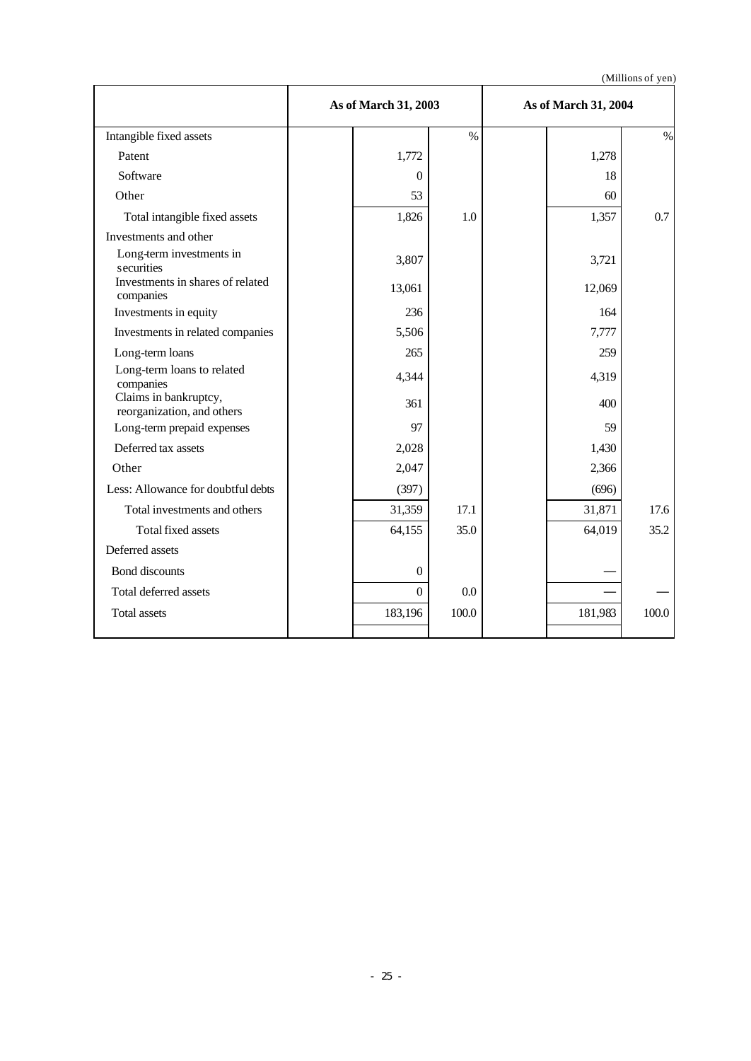(Millions of yen)

|                                                     | As of March 31, 2003 |                |       | As of March 31, 2004 |         |       |
|-----------------------------------------------------|----------------------|----------------|-------|----------------------|---------|-------|
| Intangible fixed assets                             |                      |                | $\%$  |                      |         | $\%$  |
| Patent                                              |                      | 1,772          |       |                      | 1,278   |       |
| Software                                            |                      | $\theta$       |       |                      | 18      |       |
| Other                                               |                      | 53             |       |                      | 60      |       |
| Total intangible fixed assets                       |                      | 1,826          | 1.0   |                      | 1,357   | 0.7   |
| Investments and other                               |                      |                |       |                      |         |       |
| Long-term investments in<br>securities              |                      | 3,807          |       |                      | 3,721   |       |
| Investments in shares of related<br>companies       |                      | 13,061         |       |                      | 12,069  |       |
| Investments in equity                               |                      | 236            |       |                      | 164     |       |
| Investments in related companies                    |                      | 5,506          |       |                      | 7,777   |       |
| Long-term loans                                     |                      | 265            |       |                      | 259     |       |
| Long-term loans to related<br>companies             |                      | 4,344          |       |                      | 4,319   |       |
| Claims in bankruptcy,<br>reorganization, and others |                      | 361            |       |                      | 400     |       |
| Long-term prepaid expenses                          |                      | 97             |       |                      | 59      |       |
| Deferred tax assets                                 |                      | 2,028          |       |                      | 1,430   |       |
| Other                                               |                      | 2,047          |       |                      | 2,366   |       |
| Less: Allowance for doubtful debts                  |                      | (397)          |       |                      | (696)   |       |
| Total investments and others                        |                      | 31,359         | 17.1  |                      | 31,871  | 17.6  |
| Total fixed assets                                  |                      | 64,155         | 35.0  |                      | 64,019  | 35.2  |
| Deferred assets                                     |                      |                |       |                      |         |       |
| <b>Bond</b> discounts                               |                      | $\overline{0}$ |       |                      |         |       |
| Total deferred assets                               |                      | $\Omega$       | 0.0   |                      |         |       |
| <b>Total assets</b>                                 |                      | 183,196        | 100.0 |                      | 181,983 | 100.0 |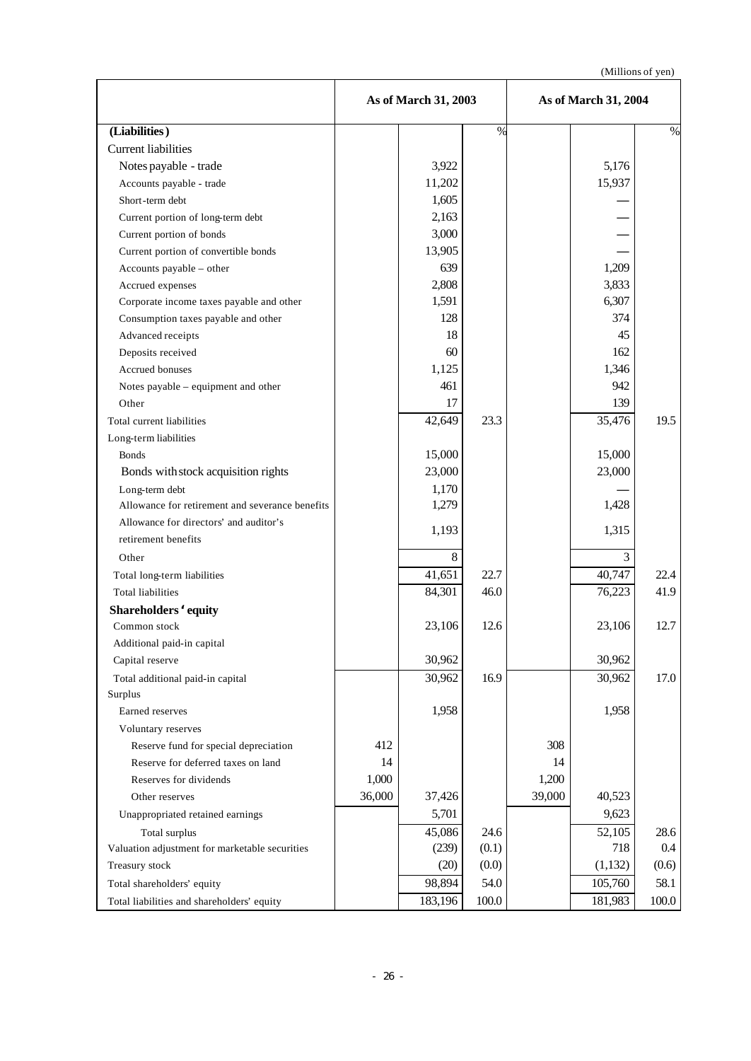|                                                 |        | As of March 31, 2003 |       | As of March 31, 2004 |          |       |
|-------------------------------------------------|--------|----------------------|-------|----------------------|----------|-------|
| (Liabilities)                                   |        |                      | $\%$  |                      |          | $\%$  |
| <b>Current liabilities</b>                      |        |                      |       |                      |          |       |
| Notes payable - trade                           |        | 3,922                |       |                      | 5,176    |       |
| Accounts payable - trade                        |        | 11,202               |       |                      | 15,937   |       |
| Short-term debt                                 |        | 1,605                |       |                      |          |       |
| Current portion of long-term debt               |        | 2,163                |       |                      |          |       |
| Current portion of bonds                        |        | 3,000                |       |                      |          |       |
| Current portion of convertible bonds            |        | 13,905               |       |                      |          |       |
| Accounts payable - other                        |        | 639                  |       |                      | 1,209    |       |
| Accrued expenses                                |        | 2,808                |       |                      | 3,833    |       |
| Corporate income taxes payable and other        |        | 1,591                |       |                      | 6,307    |       |
| Consumption taxes payable and other             |        | 128                  |       |                      | 374      |       |
| Advanced receipts                               |        | 18                   |       |                      | 45       |       |
| Deposits received                               |        | 60                   |       |                      | 162      |       |
| Accrued bonuses                                 |        | 1,125                |       |                      | 1,346    |       |
| Notes payable - equipment and other             |        | 461                  |       |                      | 942      |       |
| Other                                           |        | 17                   |       |                      | 139      |       |
| Total current liabilities                       |        | 42,649               | 23.3  |                      | 35,476   | 19.5  |
| Long-term liabilities                           |        |                      |       |                      |          |       |
| <b>Bonds</b>                                    |        | 15,000               |       |                      | 15,000   |       |
| Bonds with stock acquisition rights             |        | 23,000               |       |                      | 23,000   |       |
| Long-term debt                                  |        | 1,170                |       |                      |          |       |
| Allowance for retirement and severance benefits |        | 1,279                |       |                      | 1,428    |       |
| Allowance for directors' and auditor's          |        | 1,193                |       |                      | 1,315    |       |
| retirement benefits                             |        |                      |       |                      |          |       |
| Other                                           |        | 8                    |       |                      | 3        |       |
| Total long-term liabilities                     |        | 41,651               | 22.7  |                      | 40,747   | 22.4  |
| <b>Total liabilities</b>                        |        | 84,301               | 46.0  |                      | 76,223   | 41.9  |
| Shareholders' equity                            |        |                      |       |                      |          |       |
| Common stock                                    |        | 23,106               | 12.6  |                      | 23,106   | 12.7  |
| Additional paid-in capital                      |        |                      |       |                      |          |       |
| Capital reserve                                 |        | 30,962               |       |                      | 30,962   |       |
| Total additional paid-in capital                |        | 30,962               | 16.9  |                      | 30,962   | 17.0  |
| Surplus                                         |        |                      |       |                      |          |       |
| Earned reserves                                 |        | 1,958                |       |                      | 1,958    |       |
| Voluntary reserves                              |        |                      |       |                      |          |       |
| Reserve fund for special depreciation           | 412    |                      |       | 308                  |          |       |
| Reserve for deferred taxes on land              | 14     |                      |       | 14                   |          |       |
| Reserves for dividends                          | 1,000  |                      |       | 1,200                |          |       |
| Other reserves                                  | 36,000 | 37,426               |       | 39,000               | 40,523   |       |
| Unappropriated retained earnings                |        | 5,701                |       |                      | 9,623    |       |
| Total surplus                                   |        | 45,086               | 24.6  |                      | 52,105   | 28.6  |
| Valuation adjustment for marketable securities  |        | (239)                | (0.1) |                      | 718      | 0.4   |
| Treasury stock                                  |        | (20)                 | (0.0) |                      | (1, 132) | (0.6) |
| Total shareholders' equity                      |        | 98,894               | 54.0  |                      | 105,760  | 58.1  |
| Total liabilities and shareholders' equity      |        | 183,196              | 100.0 |                      | 181,983  | 100.0 |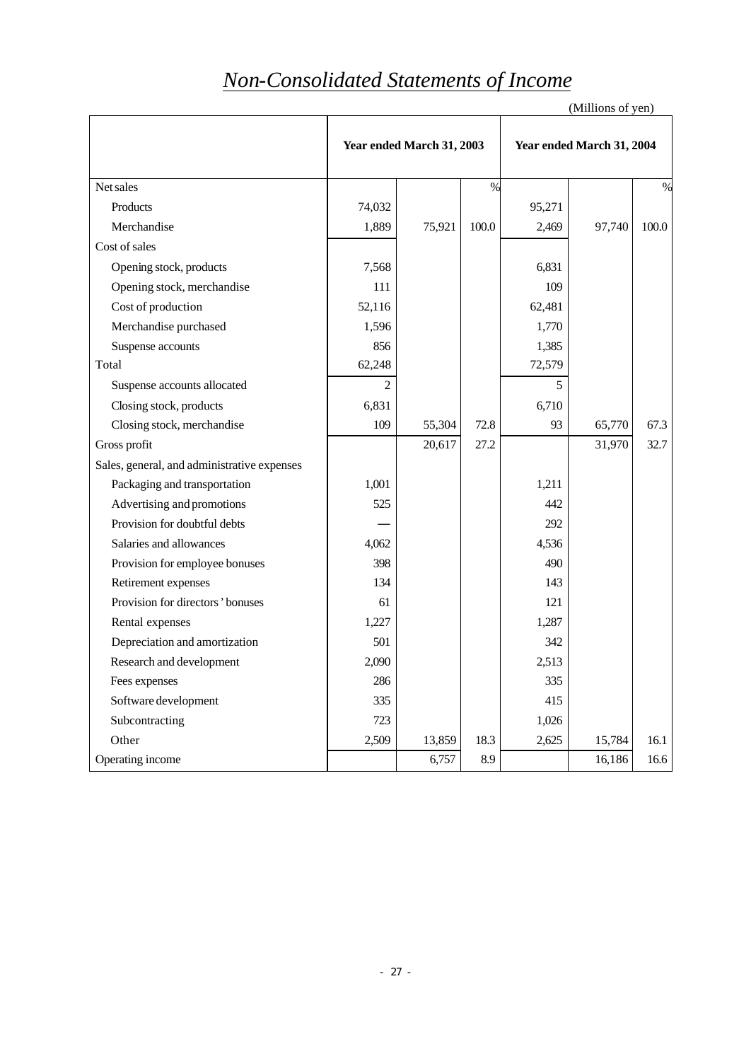# *Non-Consolidated Statements of Income*

|                                             |                           |        |       |                           | (Millions of yen) |       |
|---------------------------------------------|---------------------------|--------|-------|---------------------------|-------------------|-------|
|                                             | Year ended March 31, 2003 |        |       | Year ended March 31, 2004 |                   |       |
| Net sales                                   |                           |        | $\%$  |                           |                   | $\%$  |
| Products                                    | 74,032                    |        |       | 95,271                    |                   |       |
| Merchandise                                 | 1,889                     | 75,921 | 100.0 | 2,469                     | 97,740            | 100.0 |
| Cost of sales                               |                           |        |       |                           |                   |       |
| Opening stock, products                     | 7,568                     |        |       | 6,831                     |                   |       |
| Opening stock, merchandise                  | 111                       |        |       | 109                       |                   |       |
| Cost of production                          | 52,116                    |        |       | 62,481                    |                   |       |
| Merchandise purchased                       | 1,596                     |        |       | 1,770                     |                   |       |
| Suspense accounts                           | 856                       |        |       | 1,385                     |                   |       |
| Total                                       | 62,248                    |        |       | 72,579                    |                   |       |
| Suspense accounts allocated                 | 2                         |        |       | 5                         |                   |       |
| Closing stock, products                     | 6,831                     |        |       | 6,710                     |                   |       |
| Closing stock, merchandise                  | 109                       | 55,304 | 72.8  | 93                        | 65,770            | 67.3  |
| Gross profit                                |                           | 20,617 | 27.2  |                           | 31,970            | 32.7  |
| Sales, general, and administrative expenses |                           |        |       |                           |                   |       |
| Packaging and transportation                | 1,001                     |        |       | 1,211                     |                   |       |
| Advertising and promotions                  | 525                       |        |       | 442                       |                   |       |
| Provision for doubtful debts                |                           |        |       | 292                       |                   |       |
| Salaries and allowances                     | 4,062                     |        |       | 4,536                     |                   |       |
| Provision for employee bonuses              | 398                       |        |       | 490                       |                   |       |
| Retirement expenses                         | 134                       |        |       | 143                       |                   |       |
| Provision for directors' bonuses            | 61                        |        |       | 121                       |                   |       |
| Rental expenses                             | 1,227                     |        |       | 1,287                     |                   |       |
| Depreciation and amortization               | 501                       |        |       | 342                       |                   |       |
| Research and development                    | 2,090                     |        |       | 2,513                     |                   |       |
| Fees expenses                               | 286                       |        |       | 335                       |                   |       |
| Software development                        | 335                       |        |       | 415                       |                   |       |
| Subcontracting                              | 723                       |        |       | 1,026                     |                   |       |
| Other                                       | 2,509                     | 13,859 | 18.3  | 2,625                     | 15,784            | 16.1  |
| Operating income                            |                           | 6,757  | 8.9   |                           | 16,186            | 16.6  |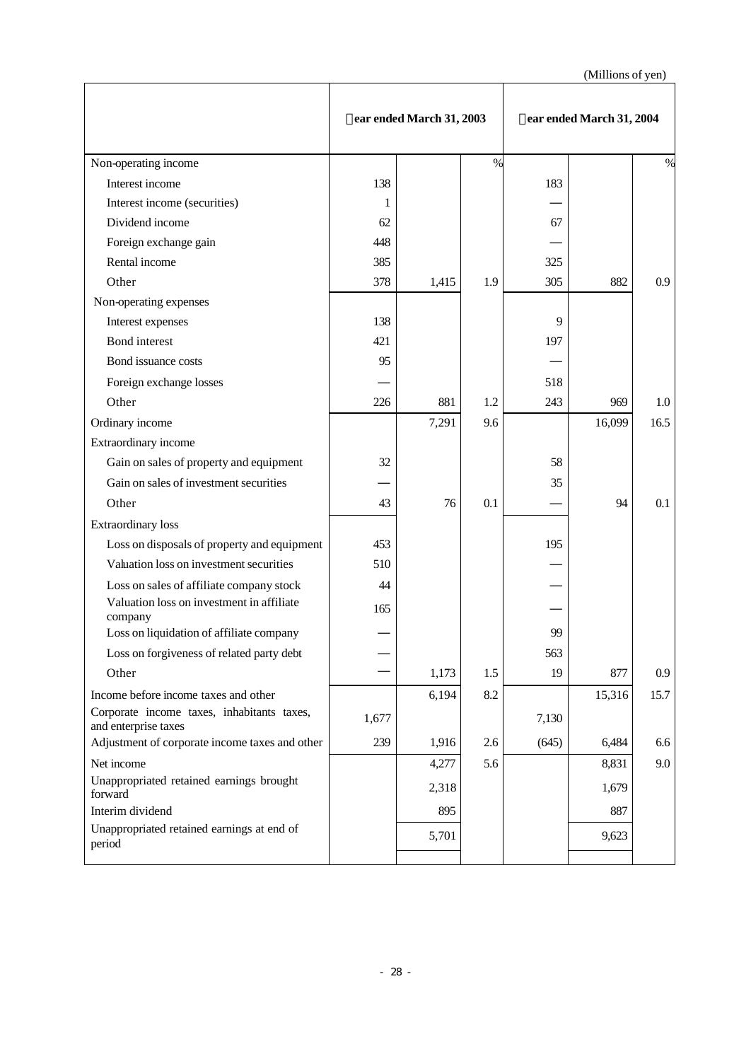|                                                                    | ear ended March 31, 2003 |       | ear ended March 31, 2004 |       |        |               |
|--------------------------------------------------------------------|--------------------------|-------|--------------------------|-------|--------|---------------|
| Non-operating income                                               |                          |       | $\%$                     |       |        | $\frac{0}{0}$ |
| Interest income                                                    | 138                      |       |                          | 183   |        |               |
| Interest income (securities)                                       | 1                        |       |                          |       |        |               |
| Dividend income                                                    | 62                       |       |                          | 67    |        |               |
| Foreign exchange gain                                              | 448                      |       |                          |       |        |               |
| Rental income                                                      | 385                      |       |                          | 325   |        |               |
| Other                                                              | 378                      | 1,415 | 1.9                      | 305   | 882    | 0.9           |
| Non-operating expenses                                             |                          |       |                          |       |        |               |
| Interest expenses                                                  | 138                      |       |                          | 9     |        |               |
| <b>Bond</b> interest                                               | 421                      |       |                          | 197   |        |               |
| Bond issuance costs                                                | 95                       |       |                          |       |        |               |
| Foreign exchange losses                                            |                          |       |                          | 518   |        |               |
| Other                                                              | 226                      | 881   | 1.2                      | 243   | 969    | 1.0           |
| Ordinary income                                                    |                          | 7,291 | 9.6                      |       | 16,099 | 16.5          |
| Extraordinary income                                               |                          |       |                          |       |        |               |
| Gain on sales of property and equipment                            | 32                       |       |                          | 58    |        |               |
| Gain on sales of investment securities                             |                          |       |                          | 35    |        |               |
| Other                                                              | 43                       | 76    | 0.1                      |       | 94     | 0.1           |
| <b>Extraordinary</b> loss                                          |                          |       |                          |       |        |               |
| Loss on disposals of property and equipment                        | 453                      |       |                          | 195   |        |               |
| Valuation loss on investment securities                            | 510                      |       |                          |       |        |               |
| Loss on sales of affiliate company stock                           | 44                       |       |                          |       |        |               |
| Valuation loss on investment in affiliate<br>company               | 165                      |       |                          |       |        |               |
| Loss on liquidation of affiliate company                           |                          |       |                          | 99    |        |               |
| Loss on forgiveness of related party debt                          |                          |       |                          | 563   |        |               |
| Other                                                              |                          | 1,173 | 1.5                      | 19    | 877    | 0.9           |
| Income before income taxes and other                               |                          | 6,194 | 8.2                      |       | 15,316 | 15.7          |
| Corporate income taxes, inhabitants taxes,<br>and enterprise taxes | 1,677                    |       |                          | 7,130 |        |               |
| Adjustment of corporate income taxes and other                     | 239                      | 1,916 | 2.6                      | (645) | 6,484  | 6.6           |
| Net income                                                         |                          | 4,277 | 5.6                      |       | 8,831  | 9.0           |
| Unappropriated retained earnings brought<br>forward                |                          | 2,318 |                          |       | 1,679  |               |
| Interim dividend<br>Unappropriated retained earnings at end of     |                          | 895   |                          |       | 887    |               |
| period                                                             |                          | 5,701 |                          |       | 9,623  |               |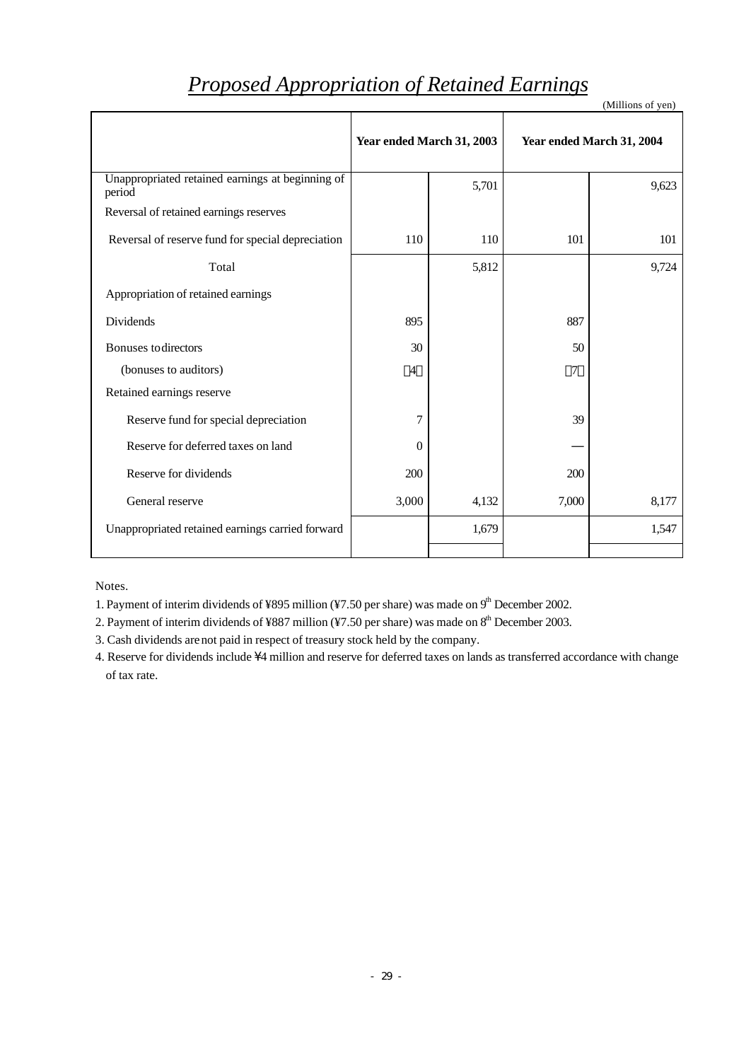# *Proposed Appropriation of Retained Earnings*

|                                                            | (Millions of yen) |                           |       |                           |
|------------------------------------------------------------|-------------------|---------------------------|-------|---------------------------|
|                                                            |                   | Year ended March 31, 2003 |       | Year ended March 31, 2004 |
| Unappropriated retained earnings at beginning of<br>period |                   | 5,701                     |       | 9,623                     |
| Reversal of retained earnings reserves                     |                   |                           |       |                           |
| Reversal of reserve fund for special depreciation          | 110               | 110                       | 101   | 101                       |
| Total                                                      |                   | 5,812                     |       | 9,724                     |
| Appropriation of retained earnings                         |                   |                           |       |                           |
| Dividends                                                  | 895               |                           | 887   |                           |
| <b>Bonuses</b> to directors                                | 30                |                           | 50    |                           |
| (bonuses to auditors)                                      | 4                 |                           | 7     |                           |
| Retained earnings reserve                                  |                   |                           |       |                           |
| Reserve fund for special depreciation                      | 7                 |                           | 39    |                           |
| Reserve for deferred taxes on land                         | $\overline{0}$    |                           |       |                           |
| Reserve for dividends                                      | 200               |                           | 200   |                           |
| General reserve                                            | 3,000             | 4,132                     | 7,000 | 8,177                     |
| Unappropriated retained earnings carried forward           |                   | 1,679                     |       | 1,547                     |
|                                                            |                   |                           |       |                           |

Notes.

1. Payment of interim dividends of ¥895 million (¥7.50 per share) was made on  $9<sup>th</sup>$  December 2002.

2. Payment of interim dividends of ¥887 million (¥7.50 per share) was made on  $8<sup>th</sup>$  December 2003.

3. Cash dividends are not paid in respect of treasury stock held by the company.

4. Reserve for dividends include \4 million and reserve for deferred taxes on lands as transferred accordance with change of tax rate.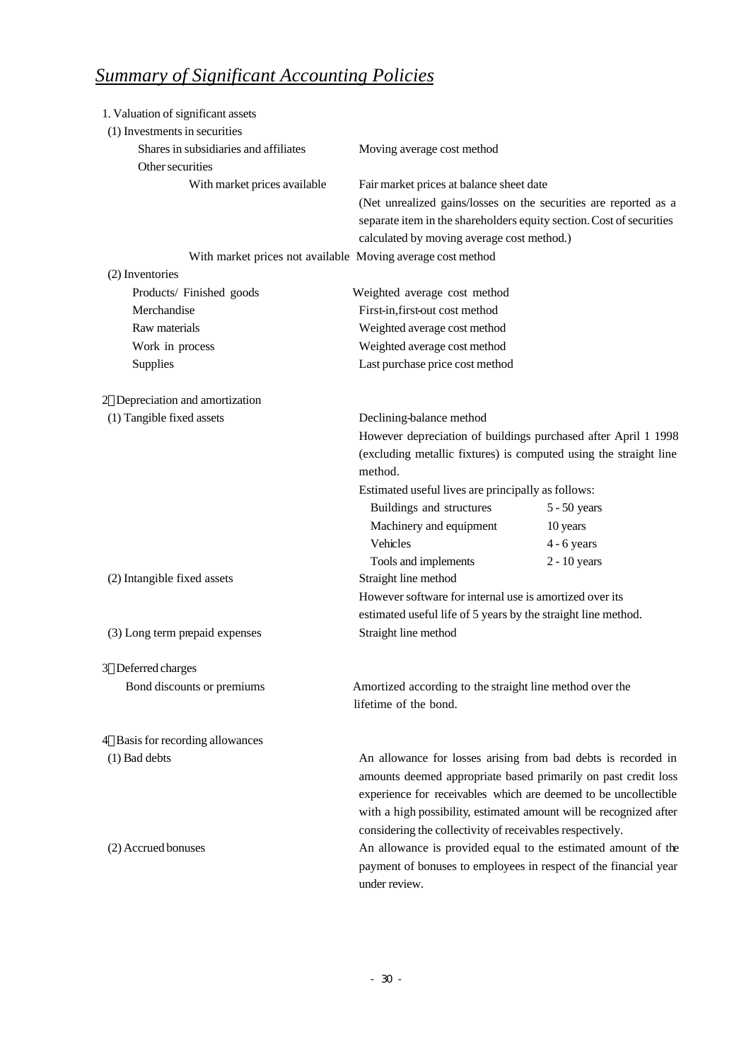# *Summary of Significant Accounting Policies*

| 1. Valuation of significant assets                          |                                                                      |                |
|-------------------------------------------------------------|----------------------------------------------------------------------|----------------|
| (1) Investments in securities                               |                                                                      |                |
| Shares in subsidiaries and affiliates                       | Moving average cost method                                           |                |
| Other securities                                            |                                                                      |                |
| With market prices available                                | Fair market prices at balance sheet date                             |                |
|                                                             | (Net unrealized gains/losses on the securities are reported as a     |                |
|                                                             | separate item in the shareholders equity section. Cost of securities |                |
|                                                             | calculated by moving average cost method.)                           |                |
| With market prices not available Moving average cost method |                                                                      |                |
| (2) Inventories                                             |                                                                      |                |
| Products/ Finished goods                                    | Weighted average cost method                                         |                |
| Merchandise                                                 | First-in, first-out cost method                                      |                |
| Raw materials                                               | Weighted average cost method                                         |                |
| Work in process                                             | Weighted average cost method                                         |                |
| Supplies                                                    | Last purchase price cost method                                      |                |
| 2 Depreciation and amortization                             |                                                                      |                |
| (1) Tangible fixed assets                                   | Declining-balance method                                             |                |
|                                                             | However depreciation of buildings purchased after April 1 1998       |                |
|                                                             | (excluding metallic fixtures) is computed using the straight line    |                |
|                                                             | method.                                                              |                |
|                                                             | Estimated useful lives are principally as follows:                   |                |
|                                                             | Buildings and structures                                             | $5 - 50$ years |
|                                                             | Machinery and equipment                                              | 10 years       |
|                                                             | Vehicles                                                             | $4 - 6$ years  |
|                                                             | Tools and implements                                                 | $2 - 10$ years |
| (2) Intangible fixed assets                                 | Straight line method                                                 |                |
|                                                             | However software for internal use is amortized over its              |                |
|                                                             | estimated useful life of 5 years by the straight line method.        |                |
| (3) Long term prepaid expenses                              | Straight line method                                                 |                |
| 3 Deferred charges                                          |                                                                      |                |
| Bond discounts or premiums                                  | Amortized according to the straight line method over the             |                |
|                                                             | lifetime of the bond.                                                |                |
| 4 Basis for recording allowances                            |                                                                      |                |
| (1) Bad debts                                               | An allowance for losses arising from bad debts is recorded in        |                |
|                                                             | amounts deemed appropriate based primarily on past credit loss       |                |
|                                                             | experience for receivables which are deemed to be uncollectible      |                |
|                                                             | with a high possibility, estimated amount will be recognized after   |                |
|                                                             | considering the collectivity of receivables respectively.            |                |
| (2) Accrued bonuses                                         | An allowance is provided equal to the estimated amount of the        |                |
|                                                             | payment of bonuses to employees in respect of the financial year     |                |
|                                                             | under review.                                                        |                |
|                                                             |                                                                      |                |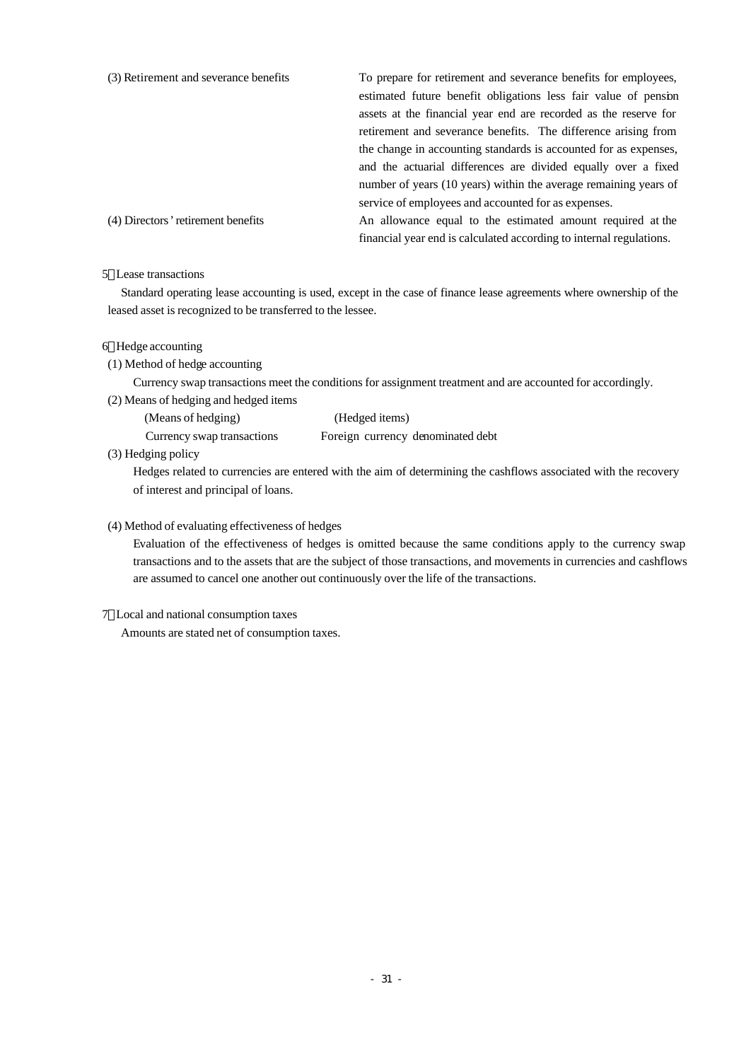| (3) Retirement and severance benefits | To prepare for retirement and severance benefits for employees,     |
|---------------------------------------|---------------------------------------------------------------------|
|                                       | estimated future benefit obligations less fair value of pension     |
|                                       | assets at the financial year end are recorded as the reserve for    |
|                                       | retirement and severance benefits. The difference arising from      |
|                                       | the change in accounting standards is accounted for as expenses,    |
|                                       | and the actuarial differences are divided equally over a fixed      |
|                                       | number of years (10 years) within the average remaining years of    |
|                                       | service of employees and accounted for as expenses.                 |
| (4) Directors' retirement benefits    | An allowance equal to the estimated amount required at the          |
|                                       | financial year end is calculated according to internal regulations. |

#### 5 Lease transactions

Standard operating lease accounting is used, except in the case of finance lease agreements where ownership of the leased asset is recognized to be transferred to the lessee.

#### 6 Hedge accounting

(1) Method of hedge accounting

Currency swap transactions meet the conditions for assignment treatment and are accounted for accordingly.

(2) Means of hedging and hedged items

(Means of hedging) (Hedged items)

Currency swap transactions Foreign currency denominated debt

(3) Hedging policy

Hedges related to currencies are entered with the aim of determining the cashflows associated with the recovery of interest and principal of loans.

#### (4) Method of evaluating effectiveness of hedges

Evaluation of the effectiveness of hedges is omitted because the same conditions apply to the currency swap transactions and to the assets that are the subject of those transactions, and movements in currencies and cashflows are assumed to cancel one another out continuously over the life of the transactions.

#### 7 Local and national consumption taxes

Amounts are stated net of consumption taxes.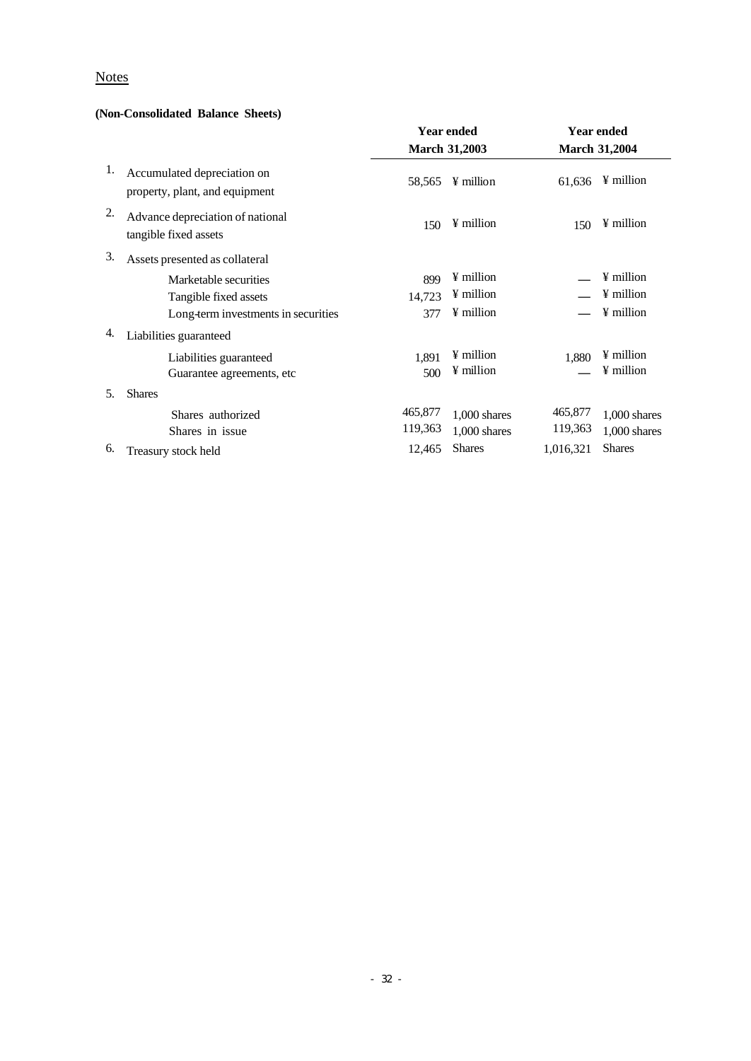## **Notes**

### **(Non-Consolidated Balance Sheets)**

|    |                                                               | <b>Year ended</b> |                      | <b>Year ended</b> |                      |  |
|----|---------------------------------------------------------------|-------------------|----------------------|-------------------|----------------------|--|
|    |                                                               |                   | <b>March 31,2003</b> |                   | <b>March 31,2004</b> |  |
| 1. | Accumulated depreciation on<br>property, plant, and equipment | 58,565            | ¥ million            | 61,636            | ¥ million            |  |
| 2. | Advance depreciation of national<br>tangible fixed assets     | 150               | ¥ million            | 150               | ¥ million            |  |
| 3. | Assets presented as collateral                                |                   |                      |                   |                      |  |
|    | Marketable securities                                         | 899               | ¥ million            |                   | ¥ million            |  |
|    | Tangible fixed assets                                         | 14,723            | ¥ million            |                   | ¥ million            |  |
|    | Long-term investments in securities                           | 377               | ¥ million            |                   | ¥ million            |  |
| 4. | Liabilities guaranteed                                        |                   |                      |                   |                      |  |
|    | Liabilities guaranteed                                        | 1,891             | ¥ million            | 1,880             | ¥ million            |  |
|    | Guarantee agreements, etc.                                    | 500               | ¥ million            |                   | ¥ million            |  |
| 5. | <b>Shares</b>                                                 |                   |                      |                   |                      |  |
|    | Shares authorized                                             | 465,877           | $1,000$ shares       | 465,877           | $1,000$ shares       |  |
|    | Shares in issue                                               | 119,363           | $1,000$ shares       | 119,363           | $1,000$ shares       |  |
| 6. | Treasury stock held                                           | 12,465            | <b>Shares</b>        | 1,016,321         | <b>Shares</b>        |  |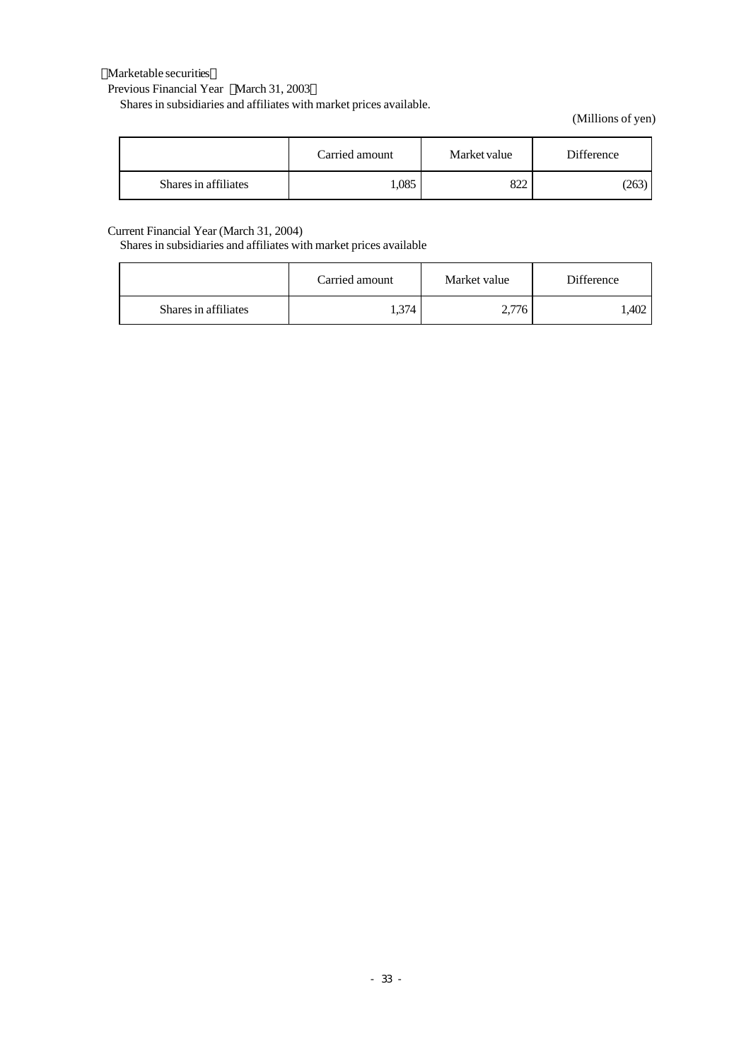### Marketable securities

Previous Financial Year March 31, 2003

Shares in subsidiaries and affiliates with market prices available.

(Millions of yen)

|                      | Carried amount | Market value | Difference |
|----------------------|----------------|--------------|------------|
| Shares in affiliates | ,085           | 822          | 263        |

#### Current Financial Year (March 31, 2004)

Shares in subsidiaries and affiliates with market prices available

|                      | Carried amount | Market value | Difference |
|----------------------|----------------|--------------|------------|
| Shares in affiliates | 1,374          | .            | l.402      |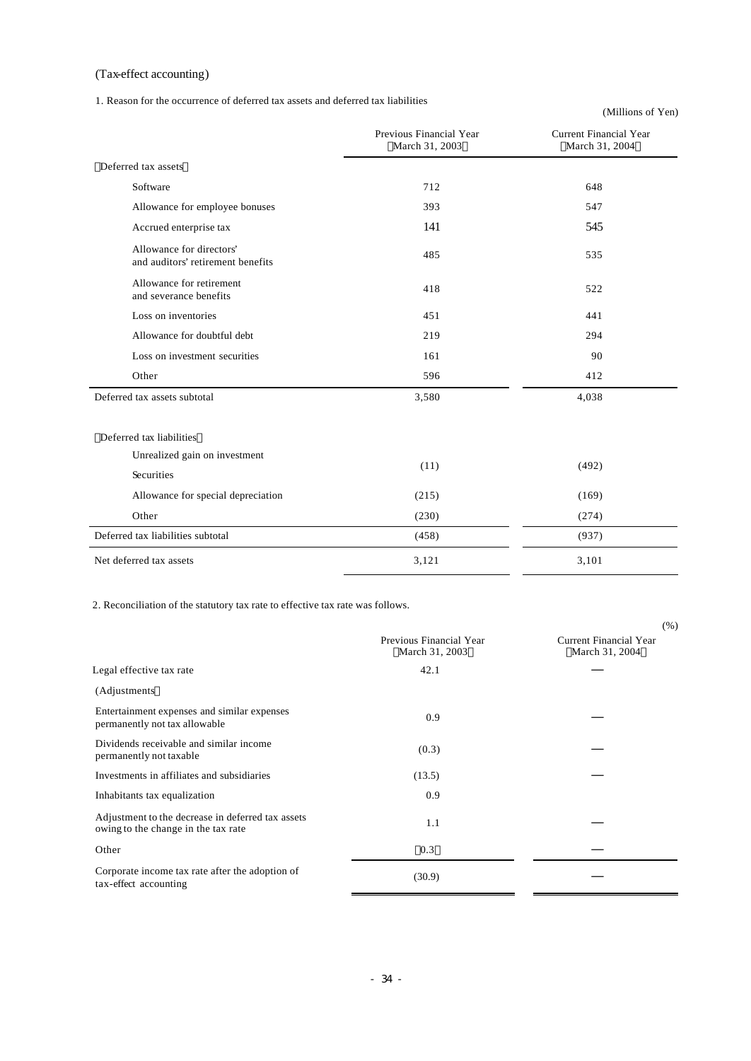#### (Tax-effect accounting)

1. Reason for the occurrence of deferred tax assets and deferred tax liabilities

(Millions of Yen)

|                                                               | Previous Financial Year<br>March 31, 2003 | Current Financial Year<br>March 31, 2004 |
|---------------------------------------------------------------|-------------------------------------------|------------------------------------------|
| Deferred tax assets                                           |                                           |                                          |
| Software                                                      | 712                                       | 648                                      |
| Allowance for employee bonuses                                | 393                                       | 547                                      |
| Accrued enterprise tax                                        | 141                                       | 545                                      |
| Allowance for directors'<br>and auditors' retirement benefits | 485                                       | 535                                      |
| Allowance for retirement<br>and severance benefits            | 418                                       | 522                                      |
| Loss on inventories                                           | 451                                       | 441                                      |
| Allowance for doubtful debt                                   | 219                                       | 294                                      |
| Loss on investment securities                                 | 161                                       | 90                                       |
| Other                                                         | 596                                       | 412                                      |
| Deferred tax assets subtotal                                  | 3,580                                     | 4,038                                    |
| Deferred tax liabilities                                      |                                           |                                          |
| Unrealized gain on investment                                 | (11)                                      | (492)                                    |
| Securities                                                    |                                           |                                          |
| Allowance for special depreciation                            | (215)                                     | (169)                                    |
| Other                                                         | (230)                                     | (274)                                    |
| Deferred tax liabilities subtotal                             | (458)                                     | (937)                                    |
| Net deferred tax assets                                       | 3,121                                     | 3,101                                    |

2. Reconciliation of the statutory tax rate to effective tax rate was follows.

|                                                                                          |                                           | (% )                                     |
|------------------------------------------------------------------------------------------|-------------------------------------------|------------------------------------------|
|                                                                                          | Previous Financial Year<br>March 31, 2003 | Current Financial Year<br>March 31, 2004 |
| Legal effective tax rate                                                                 | 42.1                                      |                                          |
| (Adjustments)                                                                            |                                           |                                          |
| Entertainment expenses and similar expenses<br>permanently not tax allowable             | 0.9                                       |                                          |
| Dividends receivable and similar income<br>permanently not taxable                       | (0.3)                                     |                                          |
| Investments in affiliates and subsidiaries                                               | (13.5)                                    |                                          |
| Inhabitants tax equalization                                                             | 0.9                                       |                                          |
| Adjustment to the decrease in deferred tax assets<br>owing to the change in the tax rate | 1.1                                       |                                          |
| Other                                                                                    | 0.3                                       |                                          |
| Corporate income tax rate after the adoption of<br>tax-effect accounting                 | (30.9)                                    |                                          |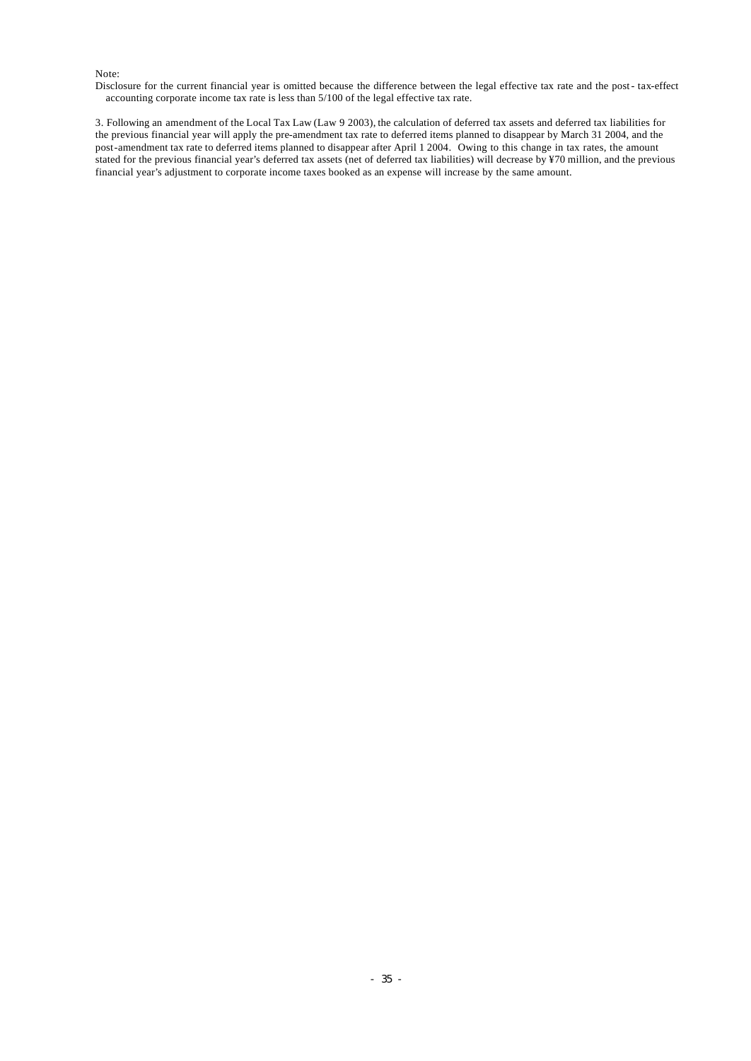#### Note:

Disclosure for the current financial year is omitted because the difference between the legal effective tax rate and the post- tax-effect accounting corporate income tax rate is less than 5/100 of the legal effective tax rate.

3. Following an amendment of the Local Tax Law (Law 9 2003), the calculation of deferred tax assets and deferred tax liabilities for the previous financial year will apply the pre-amendment tax rate to deferred items planned to disappear by March 31 2004, and the post-amendment tax rate to deferred items planned to disappear after April 1 2004. Owing to this change in tax rates, the amount stated for the previous financial year's deferred tax assets (net of deferred tax liabilities) will decrease by ¥70 million, and the previous financial year's adjustment to corporate income taxes booked as an expense will increase by the same amount.